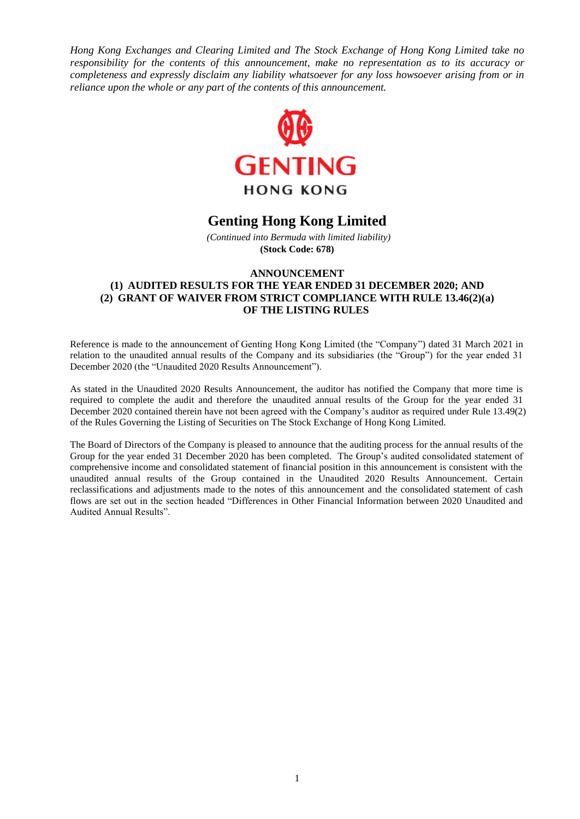*Hong Kong Exchanges and Clearing Limited and The Stock Exchange of Hong Kong Limited take no responsibility for the contents of this announcement, make no representation as to its accuracy or completeness and expressly disclaim any liability whatsoever for any loss howsoever arising from or in reliance upon the whole or any part of the contents of this announcement.*



# **Genting Hong Kong Limited**

*(Continued into Bermuda with limited liability)* **(Stock Code: 678)**

# **ANNOUNCEMENT (1) AUDITED RESULTS FOR THE YEAR ENDED 31 DECEMBER 2020; AND (2) GRANT OF WAIVER FROM STRICT COMPLIANCE WITH RULE 13.46(2)(a) OF THE LISTING RULES**

Reference is made to the announcement of Genting Hong Kong Limited (the "Company") dated 31 March 2021 in relation to the unaudited annual results of the Company and its subsidiaries (the "Group") for the year ended 31 December 2020 (the "Unaudited 2020 Results Announcement").

As stated in the Unaudited 2020 Results Announcement, the auditor has notified the Company that more time is required to complete the audit and therefore the unaudited annual results of the Group for the year ended 31 December 2020 contained therein have not been agreed with the Company's auditor as required under Rule 13.49(2) of the Rules Governing the Listing of Securities on The Stock Exchange of Hong Kong Limited.

The Board of Directors of the Company is pleased to announce that the auditing process for the annual results of the Group for the year ended 31 December 2020 has been completed. The Group's audited consolidated statement of comprehensive income and consolidated statement of financial position in this announcement is consistent with the unaudited annual results of the Group contained in the Unaudited 2020 Results Announcement. Certain reclassifications and adjustments made to the notes of this announcement and the consolidated statement of cash flows are set out in the section headed "Differences in Other Financial Information between 2020 Unaudited and Audited Annual Results".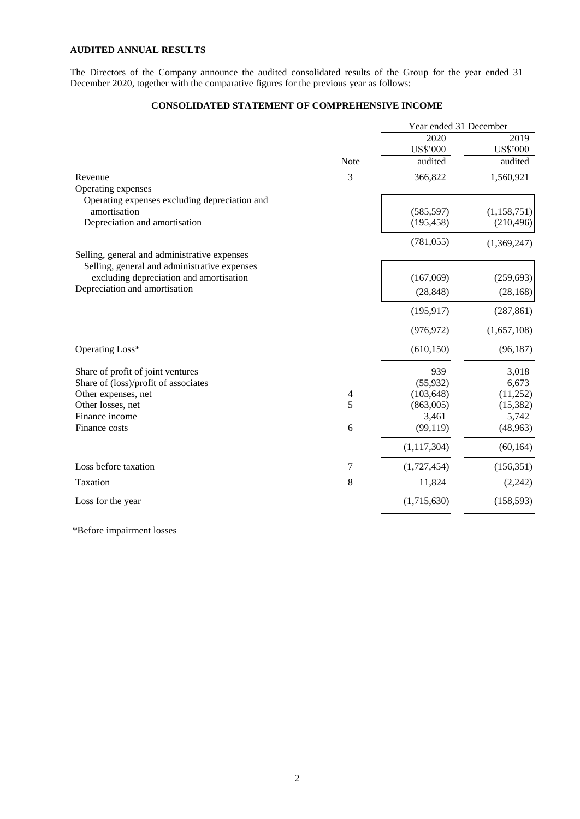# **AUDITED ANNUAL RESULTS**

The Directors of the Company announce the audited consolidated results of the Group for the year ended 31 December 2020, together with the comparative figures for the previous year as follows:

# **CONSOLIDATED STATEMENT OF COMPREHENSIVE INCOME**

|                                               |             | Year ended 31 December |                 |
|-----------------------------------------------|-------------|------------------------|-----------------|
|                                               |             | 2020                   | 2019            |
|                                               |             | <b>US\$'000</b>        | <b>US\$'000</b> |
|                                               | <b>Note</b> | audited                | audited         |
| Revenue                                       | 3           | 366,822                | 1,560,921       |
| Operating expenses                            |             |                        |                 |
| Operating expenses excluding depreciation and |             |                        |                 |
| amortisation                                  |             | (585, 597)             | (1, 158, 751)   |
| Depreciation and amortisation                 |             | (195, 458)             | (210, 496)      |
|                                               |             | (781, 055)             | (1,369,247)     |
| Selling, general and administrative expenses  |             |                        |                 |
| Selling, general and administrative expenses  |             |                        |                 |
| excluding depreciation and amortisation       |             | (167,069)              | (259, 693)      |
| Depreciation and amortisation                 |             | (28, 848)              | (28, 168)       |
|                                               |             | (195, 917)             | (287, 861)      |
|                                               |             | (976, 972)             | (1,657,108)     |
| Operating Loss*                               |             | (610, 150)             | (96, 187)       |
| Share of profit of joint ventures             |             | 939                    | 3,018           |
| Share of (loss)/profit of associates          |             | (55, 932)              | 6,673           |
| Other expenses, net                           | 4           | (103, 648)             | (11,252)        |
| Other losses, net                             | 5           | (863,005)              | (15, 382)       |
| Finance income                                |             | 3,461                  | 5,742           |
| Finance costs                                 | 6           | (99, 119)              | (48,963)        |
|                                               |             | (1, 117, 304)          | (60, 164)       |
| Loss before taxation                          | 7           | (1,727,454)            | (156, 351)      |
| Taxation                                      | 8           | 11,824                 | (2, 242)        |
| Loss for the year                             |             | (1,715,630)            | (158, 593)      |
|                                               |             |                        |                 |

\*Before impairment losses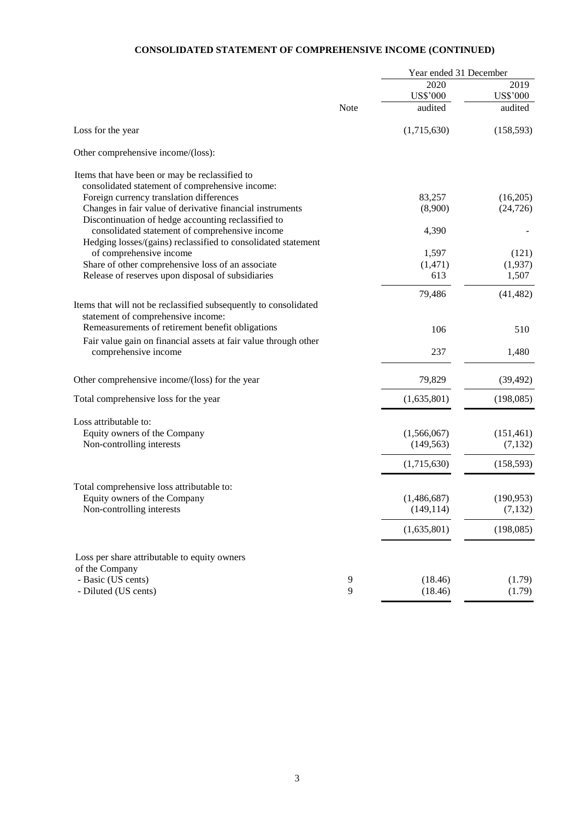# **CONSOLIDATED STATEMENT OF COMPREHENSIVE INCOME (CONTINUED)**

|                                                                                                                 | Year ended 31 December |                            |                            |
|-----------------------------------------------------------------------------------------------------------------|------------------------|----------------------------|----------------------------|
|                                                                                                                 |                        | 2020                       | 2019                       |
|                                                                                                                 | Note                   | <b>US\$'000</b><br>audited | <b>US\$'000</b><br>audited |
|                                                                                                                 |                        |                            |                            |
| Loss for the year                                                                                               |                        | (1,715,630)                | (158, 593)                 |
| Other comprehensive income/(loss):                                                                              |                        |                            |                            |
| Items that have been or may be reclassified to                                                                  |                        |                            |                            |
| consolidated statement of comprehensive income:<br>Foreign currency translation differences                     |                        | 83,257                     | (16,205)                   |
| Changes in fair value of derivative financial instruments                                                       |                        | (8,900)                    | (24, 726)                  |
| Discontinuation of hedge accounting reclassified to                                                             |                        |                            |                            |
| consolidated statement of comprehensive income<br>Hedging losses/(gains) reclassified to consolidated statement |                        | 4,390                      |                            |
| of comprehensive income                                                                                         |                        | 1,597                      | (121)                      |
| Share of other comprehensive loss of an associate                                                               |                        | (1, 471)                   | (1,937)                    |
| Release of reserves upon disposal of subsidiaries                                                               |                        | 613                        | 1,507                      |
|                                                                                                                 |                        | 79,486                     | (41, 482)                  |
| Items that will not be reclassified subsequently to consolidated                                                |                        |                            |                            |
| statement of comprehensive income:                                                                              |                        |                            |                            |
| Remeasurements of retirement benefit obligations                                                                |                        | 106                        | 510                        |
| Fair value gain on financial assets at fair value through other<br>comprehensive income                         |                        | 237                        | 1,480                      |
| Other comprehensive income/(loss) for the year                                                                  |                        | 79,829                     | (39, 492)                  |
|                                                                                                                 |                        |                            |                            |
| Total comprehensive loss for the year                                                                           |                        | (1,635,801)                | (198,085)                  |
| Loss attributable to:                                                                                           |                        |                            |                            |
| Equity owners of the Company                                                                                    |                        | (1,566,067)                | (151, 461)                 |
| Non-controlling interests                                                                                       |                        | (149, 563)                 | (7,132)                    |
|                                                                                                                 |                        | (1,715,630)                | (158, 593)                 |
| Total comprehensive loss attributable to:                                                                       |                        |                            |                            |
| Equity owners of the Company                                                                                    |                        | (1,486,687)                | (190, 953)                 |
| Non-controlling interests                                                                                       |                        | (149, 114)                 | (7, 132)                   |
|                                                                                                                 |                        | (1,635,801)                | (198,085)                  |
| Loss per share attributable to equity owners                                                                    |                        |                            |                            |
| of the Company                                                                                                  |                        |                            |                            |
| - Basic (US cents)                                                                                              | 9                      | (18.46)                    | (1.79)                     |
| - Diluted (US cents)                                                                                            | 9                      | (18.46)                    | (1.79)                     |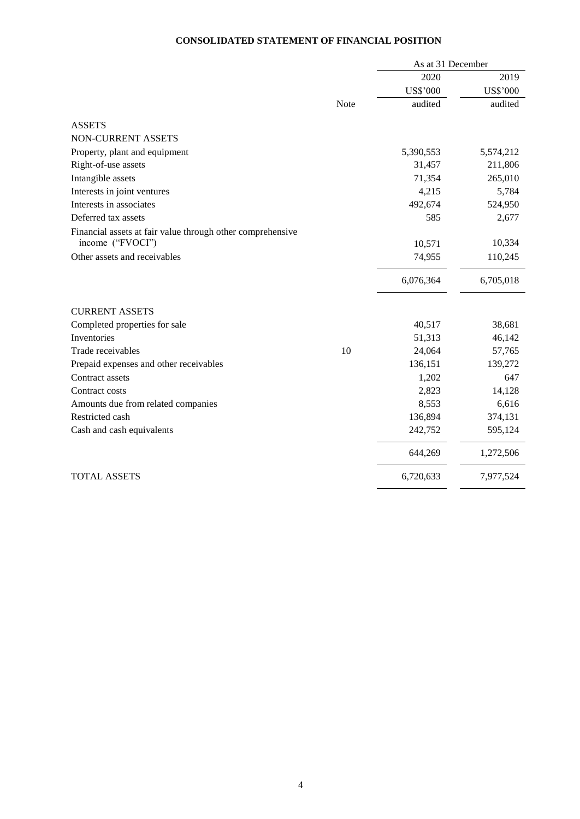# **CONSOLIDATED STATEMENT OF FINANCIAL POSITION**

|                                                            |      | As at 31 December |                 |
|------------------------------------------------------------|------|-------------------|-----------------|
|                                                            |      | 2020              | 2019            |
|                                                            |      | <b>US\$'000</b>   | <b>US\$'000</b> |
|                                                            | Note | audited           | audited         |
| <b>ASSETS</b>                                              |      |                   |                 |
| NON-CURRENT ASSETS                                         |      |                   |                 |
| Property, plant and equipment                              |      | 5,390,553         | 5,574,212       |
| Right-of-use assets                                        |      | 31,457            | 211,806         |
| Intangible assets                                          |      | 71,354            | 265,010         |
| Interests in joint ventures                                |      | 4,215             | 5,784           |
| Interests in associates                                    |      | 492,674           | 524,950         |
| Deferred tax assets                                        |      | 585               | 2,677           |
| Financial assets at fair value through other comprehensive |      |                   |                 |
| income ("FVOCI")                                           |      | 10,571            | 10,334          |
| Other assets and receivables                               |      | 74,955            | 110,245         |
|                                                            |      | 6,076,364         | 6,705,018       |
| <b>CURRENT ASSETS</b>                                      |      |                   |                 |
| Completed properties for sale                              |      | 40,517            | 38,681          |
| Inventories                                                |      | 51,313            | 46,142          |
| Trade receivables                                          | 10   | 24,064            | 57,765          |
| Prepaid expenses and other receivables                     |      | 136,151           | 139,272         |
| Contract assets                                            |      | 1,202             | 647             |
| Contract costs                                             |      | 2,823             | 14,128          |
| Amounts due from related companies                         |      | 8,553             | 6,616           |
| Restricted cash                                            |      | 136,894           | 374,131         |
| Cash and cash equivalents                                  |      | 242,752           | 595,124         |
|                                                            |      | 644,269           | 1,272,506       |
| <b>TOTAL ASSETS</b>                                        |      | 6,720,633         | 7,977,524       |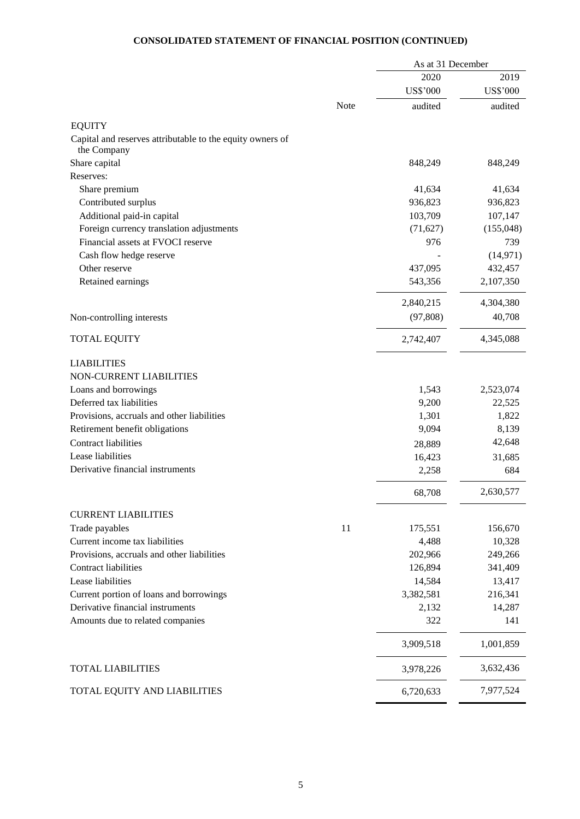# **CONSOLIDATED STATEMENT OF FINANCIAL POSITION (CONTINUED)**

|                                                           | As at 31 December |                 |                 |
|-----------------------------------------------------------|-------------------|-----------------|-----------------|
|                                                           |                   | 2020            | 2019            |
|                                                           |                   | <b>US\$'000</b> | <b>US\$'000</b> |
|                                                           | Note              | audited         | audited         |
| <b>EQUITY</b>                                             |                   |                 |                 |
| Capital and reserves attributable to the equity owners of |                   |                 |                 |
| the Company                                               |                   |                 |                 |
| Share capital                                             |                   | 848,249         | 848,249         |
| Reserves:                                                 |                   |                 |                 |
| Share premium                                             |                   | 41,634          | 41,634          |
| Contributed surplus                                       |                   | 936,823         | 936,823         |
| Additional paid-in capital                                |                   | 103,709         | 107,147         |
| Foreign currency translation adjustments                  |                   | (71, 627)       | (155,048)       |
| Financial assets at FVOCI reserve                         |                   | 976             | 739             |
| Cash flow hedge reserve                                   |                   |                 | (14, 971)       |
| Other reserve                                             |                   | 437,095         | 432,457         |
| Retained earnings                                         |                   | 543,356         | 2,107,350       |
|                                                           |                   | 2,840,215       | 4,304,380       |
| Non-controlling interests                                 |                   | (97,808)        | 40,708          |
| <b>TOTAL EQUITY</b>                                       |                   | 2,742,407       | 4,345,088       |
| <b>LIABILITIES</b>                                        |                   |                 |                 |
| NON-CURRENT LIABILITIES                                   |                   |                 |                 |
| Loans and borrowings                                      |                   | 1,543           | 2,523,074       |
| Deferred tax liabilities                                  |                   | 9,200           | 22,525          |
| Provisions, accruals and other liabilities                |                   | 1,301           | 1,822           |
| Retirement benefit obligations                            |                   | 9,094           | 8,139           |
| Contract liabilities                                      |                   | 28,889          | 42,648          |
| Lease liabilities                                         |                   | 16,423          | 31,685          |
| Derivative financial instruments                          |                   | 2,258           | 684             |
|                                                           |                   | 68,708          | 2,630,577       |
| <b>CURRENT LIABILITIES</b>                                |                   |                 |                 |
| Trade payables                                            | 11                | 175,551         | 156,670         |
| Current income tax liabilities                            |                   | 4,488           | 10,328          |
| Provisions, accruals and other liabilities                |                   | 202,966         | 249,266         |
| <b>Contract liabilities</b>                               |                   | 126,894         | 341,409         |
| Lease liabilities                                         |                   | 14,584          | 13,417          |
| Current portion of loans and borrowings                   |                   | 3,382,581       | 216,341         |
| Derivative financial instruments                          |                   | 2,132           | 14,287          |
| Amounts due to related companies                          |                   | 322             | 141             |
|                                                           |                   | 3,909,518       | 1,001,859       |
| <b>TOTAL LIABILITIES</b>                                  |                   | 3,978,226       | 3,632,436       |
| TOTAL EQUITY AND LIABILITIES                              |                   | 6,720,633       | 7,977,524       |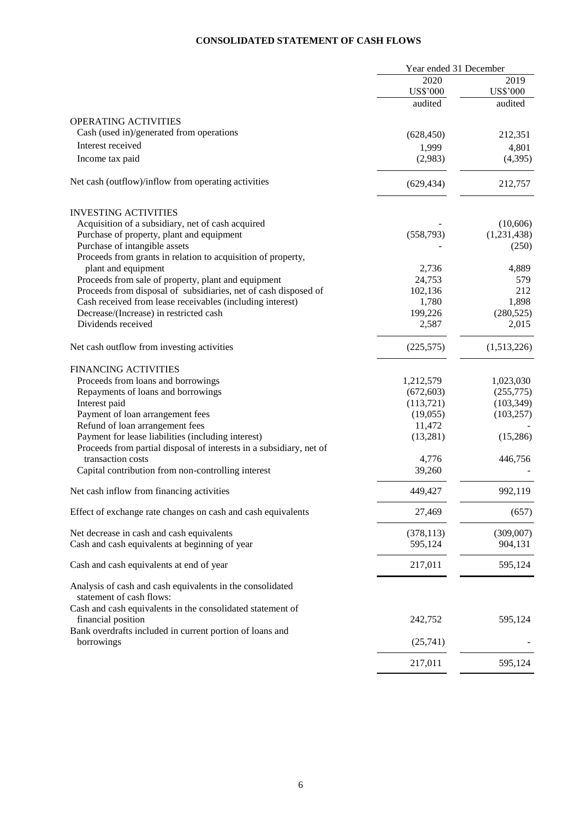# **CONSOLIDATED STATEMENT OF CASH FLOWS**

|                                                                     | Year ended 31 December |                  |
|---------------------------------------------------------------------|------------------------|------------------|
|                                                                     | 2020                   | 2019             |
|                                                                     | <b>US\$'000</b>        | <b>US\$'000</b>  |
|                                                                     | audited                | audited          |
| <b>OPERATING ACTIVITIES</b>                                         |                        |                  |
| Cash (used in)/generated from operations                            | (628, 450)             | 212,351          |
| Interest received                                                   |                        |                  |
| Income tax paid                                                     | 1,999<br>(2,983)       | 4,801<br>(4,395) |
| Net cash (outflow)/inflow from operating activities                 |                        |                  |
|                                                                     | (629, 434)             | 212,757          |
| <b>INVESTING ACTIVITIES</b>                                         |                        |                  |
| Acquisition of a subsidiary, net of cash acquired                   |                        | (10,606)         |
| Purchase of property, plant and equipment                           | (558,793)              | (1,231,438)      |
| Purchase of intangible assets                                       |                        | (250)            |
| Proceeds from grants in relation to acquisition of property,        |                        |                  |
| plant and equipment                                                 | 2,736                  | 4,889            |
| Proceeds from sale of property, plant and equipment                 | 24,753                 | 579              |
| Proceeds from disposal of subsidiaries, net of cash disposed of     | 102,136                | 212              |
| Cash received from lease receivables (including interest)           | 1,780                  | 1,898            |
| Decrease/(Increase) in restricted cash                              | 199,226                | (280, 525)       |
| Dividends received                                                  | 2,587                  | 2,015            |
| Net cash outflow from investing activities                          | (225, 575)             | (1,513,226)      |
|                                                                     |                        |                  |
| <b>FINANCING ACTIVITIES</b>                                         |                        |                  |
| Proceeds from loans and borrowings                                  | 1,212,579              | 1,023,030        |
| Repayments of loans and borrowings                                  | (672, 603)             | (255,775)        |
| Interest paid                                                       | (113,721)              | (103, 349)       |
| Payment of loan arrangement fees                                    | (19,055)               | (103, 257)       |
| Refund of loan arrangement fees                                     | 11,472                 |                  |
| Payment for lease liabilities (including interest)                  | (13,281)               | (15,286)         |
| Proceeds from partial disposal of interests in a subsidiary, net of |                        |                  |
| transaction costs                                                   | 4,776                  | 446,756          |
| Capital contribution from non-controlling interest                  | 39,260                 |                  |
| Net cash inflow from financing activities                           | 449,427                | 992,119          |
|                                                                     |                        |                  |
| Effect of exchange rate changes on cash and cash equivalents        | 27,469                 | (657)            |
| Net decrease in cash and cash equivalents                           | (378, 113)             | (309,007)        |
| Cash and cash equivalents at beginning of year                      | 595,124                | 904,131          |
| Cash and cash equivalents at end of year                            | 217,011                | 595,124          |
| Analysis of cash and cash equivalents in the consolidated           |                        |                  |
| statement of cash flows:                                            |                        |                  |
| Cash and cash equivalents in the consolidated statement of          |                        |                  |
| financial position                                                  | 242,752                | 595,124          |
| Bank overdrafts included in current portion of loans and            |                        |                  |
| borrowings                                                          | (25,741)               |                  |
|                                                                     | 217,011                | 595,124          |
|                                                                     |                        |                  |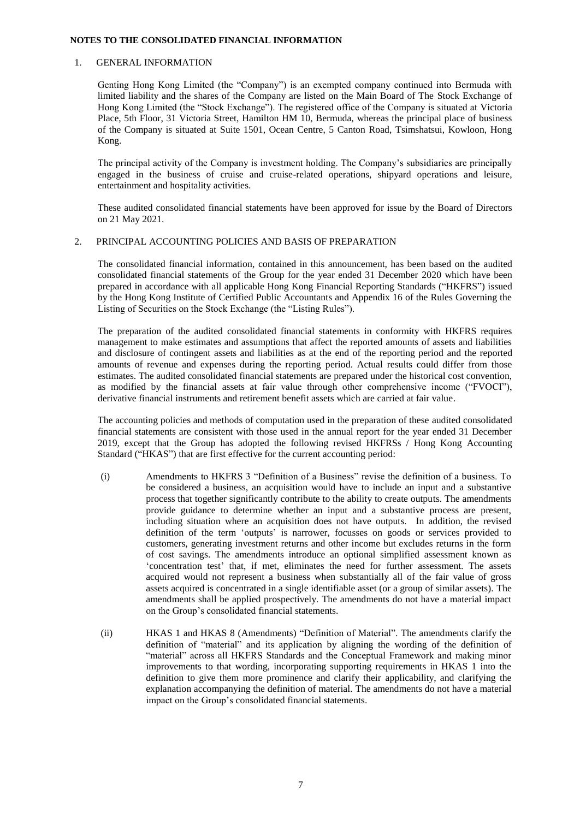### **NOTES TO THE CONSOLIDATED FINANCIAL INFORMATION**

### 1. GENERAL INFORMATION

Genting Hong Kong Limited (the "Company") is an exempted company continued into Bermuda with limited liability and the shares of the Company are listed on the Main Board of The Stock Exchange of Hong Kong Limited (the "Stock Exchange"). The registered office of the Company is situated at Victoria Place, 5th Floor, 31 Victoria Street, Hamilton HM 10, Bermuda, whereas the principal place of business of the Company is situated at Suite 1501, Ocean Centre, 5 Canton Road, Tsimshatsui, Kowloon, Hong Kong.

The principal activity of the Company is investment holding. The Company's subsidiaries are principally engaged in the business of cruise and cruise-related operations, shipyard operations and leisure, entertainment and hospitality activities.

These audited consolidated financial statements have been approved for issue by the Board of Directors on 21 May 2021.

# 2. PRINCIPAL ACCOUNTING POLICIES AND BASIS OF PREPARATION

The consolidated financial information, contained in this announcement, has been based on the audited consolidated financial statements of the Group for the year ended 31 December 2020 which have been prepared in accordance with all applicable Hong Kong Financial Reporting Standards ("HKFRS") issued by the Hong Kong Institute of Certified Public Accountants and Appendix 16 of the Rules Governing the Listing of Securities on the Stock Exchange (the "Listing Rules").

The preparation of the audited consolidated financial statements in conformity with HKFRS requires management to make estimates and assumptions that affect the reported amounts of assets and liabilities and disclosure of contingent assets and liabilities as at the end of the reporting period and the reported amounts of revenue and expenses during the reporting period. Actual results could differ from those estimates. The audited consolidated financial statements are prepared under the historical cost convention, as modified by the financial assets at fair value through other comprehensive income ("FVOCI"), derivative financial instruments and retirement benefit assets which are carried at fair value.

The accounting policies and methods of computation used in the preparation of these audited consolidated financial statements are consistent with those used in the annual report for the year ended 31 December 2019, except that the Group has adopted the following revised HKFRSs / Hong Kong Accounting Standard ("HKAS") that are first effective for the current accounting period:

- (i) Amendments to HKFRS 3 "Definition of a Business" revise the definition of a business. To be considered a business, an acquisition would have to include an input and a substantive process that together significantly contribute to the ability to create outputs. The amendments provide guidance to determine whether an input and a substantive process are present, including situation where an acquisition does not have outputs. In addition, the revised definition of the term ʻoutputs' is narrower, focusses on goods or services provided to customers, generating investment returns and other income but excludes returns in the form of cost savings. The amendments introduce an optional simplified assessment known as ʻconcentration test' that, if met, eliminates the need for further assessment. The assets acquired would not represent a business when substantially all of the fair value of gross assets acquired is concentrated in a single identifiable asset (or a group of similar assets). The amendments shall be applied prospectively. The amendments do not have a material impact on the Group's consolidated financial statements.
- (ii) HKAS 1 and HKAS 8 (Amendments) "Definition of Material". The amendments clarify the definition of "material" and its application by aligning the wording of the definition of "material" across all HKFRS Standards and the Conceptual Framework and making minor improvements to that wording, incorporating supporting requirements in HKAS 1 into the definition to give them more prominence and clarify their applicability, and clarifying the explanation accompanying the definition of material. The amendments do not have a material impact on the Group's consolidated financial statements.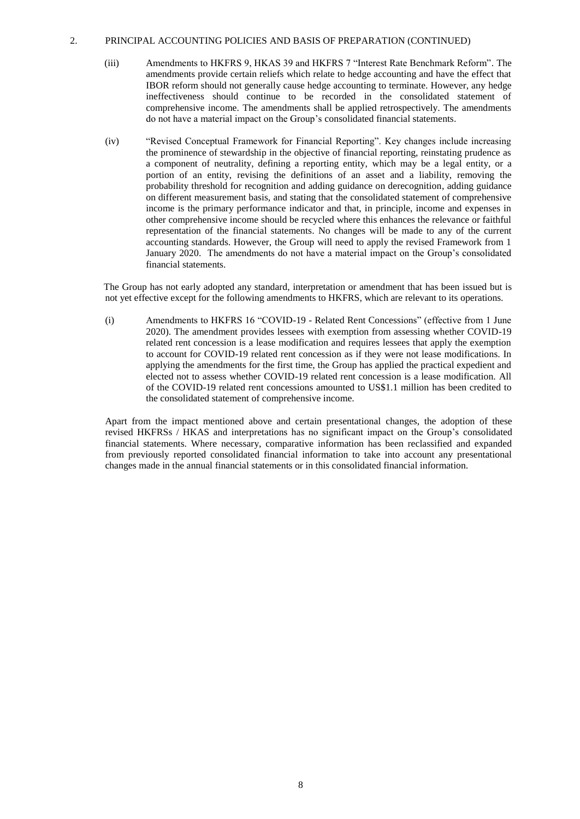- (iii) Amendments to HKFRS 9, HKAS 39 and HKFRS 7 "Interest Rate Benchmark Reform". The amendments provide certain reliefs which relate to hedge accounting and have the effect that IBOR reform should not generally cause hedge accounting to terminate. However, any hedge ineffectiveness should continue to be recorded in the consolidated statement of comprehensive income. The amendments shall be applied retrospectively. The amendments do not have a material impact on the Group's consolidated financial statements.
- (iv) "Revised Conceptual Framework for Financial Reporting". Key changes include increasing the prominence of stewardship in the objective of financial reporting, reinstating prudence as a component of neutrality, defining a reporting entity, which may be a legal entity, or a portion of an entity, revising the definitions of an asset and a liability, removing the probability threshold for recognition and adding guidance on derecognition, adding guidance on different measurement basis, and stating that the consolidated statement of comprehensive income is the primary performance indicator and that, in principle, income and expenses in other comprehensive income should be recycled where this enhances the relevance or faithful representation of the financial statements. No changes will be made to any of the current accounting standards. However, the Group will need to apply the revised Framework from 1 January 2020. The amendments do not have a material impact on the Group's consolidated financial statements.

The Group has not early adopted any standard, interpretation or amendment that has been issued but is not yet effective except for the following amendments to HKFRS, which are relevant to its operations.

(i) Amendments to HKFRS 16 "COVID-19 - Related Rent Concessions" (effective from 1 June 2020). The amendment provides lessees with exemption from assessing whether COVID-19 related rent concession is a lease modification and requires lessees that apply the exemption to account for COVID-19 related rent concession as if they were not lease modifications. In applying the amendments for the first time, the Group has applied the practical expedient and elected not to assess whether COVID-19 related rent concession is a lease modification. All of the COVID-19 related rent concessions amounted to US\$1.1 million has been credited to the consolidated statement of comprehensive income.

Apart from the impact mentioned above and certain presentational changes, the adoption of these revised HKFRSs / HKAS and interpretations has no significant impact on the Group's consolidated financial statements. Where necessary, comparative information has been reclassified and expanded from previously reported consolidated financial information to take into account any presentational changes made in the annual financial statements or in this consolidated financial information.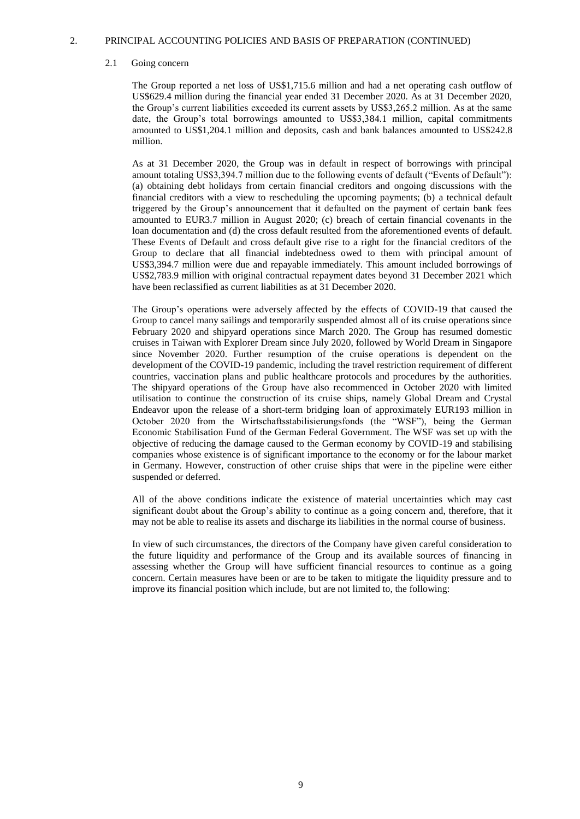#### 2.1 Going concern

The Group reported a net loss of US\$1,715.6 million and had a net operating cash outflow of US\$629.4 million during the financial year ended 31 December 2020. As at 31 December 2020, the Group's current liabilities exceeded its current assets by US\$3,265.2 million. As at the same date, the Group's total borrowings amounted to US\$3,384.1 million, capital commitments amounted to US\$1,204.1 million and deposits, cash and bank balances amounted to US\$242.8 million.

As at 31 December 2020, the Group was in default in respect of borrowings with principal amount totaling US\$3,394.7 million due to the following events of default ("Events of Default"): (a) obtaining debt holidays from certain financial creditors and ongoing discussions with the financial creditors with a view to rescheduling the upcoming payments; (b) a technical default triggered by the Group's announcement that it defaulted on the payment of certain bank fees amounted to EUR3.7 million in August 2020; (c) breach of certain financial covenants in the loan documentation and (d) the cross default resulted from the aforementioned events of default. These Events of Default and cross default give rise to a right for the financial creditors of the Group to declare that all financial indebtedness owed to them with principal amount of US\$3,394.7 million were due and repayable immediately. This amount included borrowings of US\$2,783.9 million with original contractual repayment dates beyond 31 December 2021 which have been reclassified as current liabilities as at 31 December 2020.

The Group's operations were adversely affected by the effects of COVID-19 that caused the Group to cancel many sailings and temporarily suspended almost all of its cruise operations since February 2020 and shipyard operations since March 2020. The Group has resumed domestic cruises in Taiwan with Explorer Dream since July 2020, followed by World Dream in Singapore since November 2020. Further resumption of the cruise operations is dependent on the development of the COVID-19 pandemic, including the travel restriction requirement of different countries, vaccination plans and public healthcare protocols and procedures by the authorities. The shipyard operations of the Group have also recommenced in October 2020 with limited utilisation to continue the construction of its cruise ships, namely Global Dream and Crystal Endeavor upon the release of a short-term bridging loan of approximately EUR193 million in October 2020 from the Wirtschaftsstabilisierungsfonds (the "WSF"), being the German Economic Stabilisation Fund of the German Federal Government. The WSF was set up with the objective of reducing the damage caused to the German economy by COVID-19 and stabilising companies whose existence is of significant importance to the economy or for the labour market in Germany. However, construction of other cruise ships that were in the pipeline were either suspended or deferred.

All of the above conditions indicate the existence of material uncertainties which may cast significant doubt about the Group's ability to continue as a going concern and, therefore, that it may not be able to realise its assets and discharge its liabilities in the normal course of business.

In view of such circumstances, the directors of the Company have given careful consideration to the future liquidity and performance of the Group and its available sources of financing in assessing whether the Group will have sufficient financial resources to continue as a going concern. Certain measures have been or are to be taken to mitigate the liquidity pressure and to improve its financial position which include, but are not limited to, the following: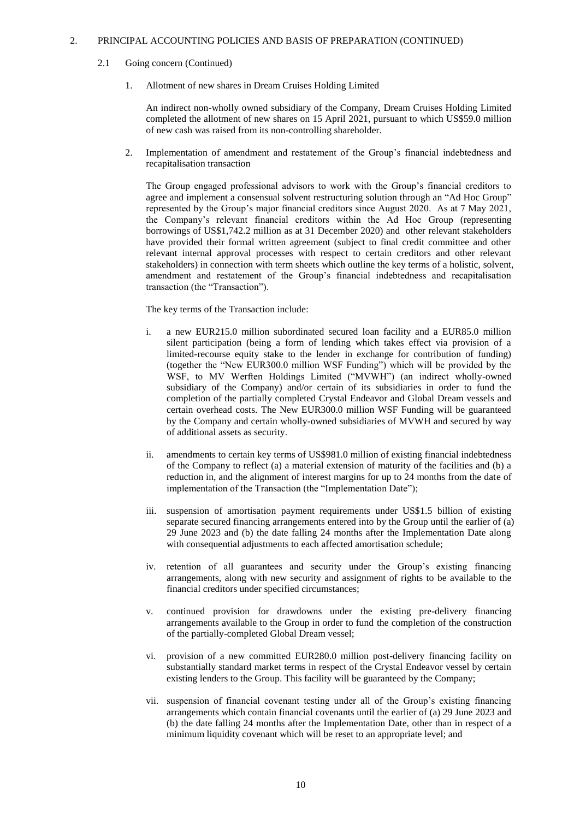### 2.1 Going concern (Continued)

1. Allotment of new shares in Dream Cruises Holding Limited

An indirect non-wholly owned subsidiary of the Company, Dream Cruises Holding Limited completed the allotment of new shares on 15 April 2021, pursuant to which US\$59.0 million of new cash was raised from its non-controlling shareholder.

2. Implementation of amendment and restatement of the Group's financial indebtedness and recapitalisation transaction

The Group engaged professional advisors to work with the Group's financial creditors to agree and implement a consensual solvent restructuring solution through an "Ad Hoc Group" represented by the Group's major financial creditors since August 2020. As at 7 May 2021, the Company's relevant financial creditors within the Ad Hoc Group (representing borrowings of US\$1,742.2 million as at 31 December 2020) and other relevant stakeholders have provided their formal written agreement (subject to final credit committee and other relevant internal approval processes with respect to certain creditors and other relevant stakeholders) in connection with term sheets which outline the key terms of a holistic, solvent, amendment and restatement of the Group's financial indebtedness and recapitalisation transaction (the "Transaction").

The key terms of the Transaction include:

- i. a new EUR215.0 million subordinated secured loan facility and a EUR85.0 million silent participation (being a form of lending which takes effect via provision of a limited-recourse equity stake to the lender in exchange for contribution of funding) (together the "New EUR300.0 million WSF Funding") which will be provided by the WSF, to MV Werften Holdings Limited ("MVWH") (an indirect wholly-owned subsidiary of the Company) and/or certain of its subsidiaries in order to fund the completion of the partially completed Crystal Endeavor and Global Dream vessels and certain overhead costs. The New EUR300.0 million WSF Funding will be guaranteed by the Company and certain wholly-owned subsidiaries of MVWH and secured by way of additional assets as security.
- ii. amendments to certain key terms of US\$981.0 million of existing financial indebtedness of the Company to reflect (a) a material extension of maturity of the facilities and (b) a reduction in, and the alignment of interest margins for up to 24 months from the date of implementation of the Transaction (the "Implementation Date");
- iii. suspension of amortisation payment requirements under US\$1.5 billion of existing separate secured financing arrangements entered into by the Group until the earlier of (a) 29 June 2023 and (b) the date falling 24 months after the Implementation Date along with consequential adjustments to each affected amortisation schedule;
- iv. retention of all guarantees and security under the Group's existing financing arrangements, along with new security and assignment of rights to be available to the financial creditors under specified circumstances;
- v. continued provision for drawdowns under the existing pre-delivery financing arrangements available to the Group in order to fund the completion of the construction of the partially-completed Global Dream vessel;
- vi. provision of a new committed EUR280.0 million post-delivery financing facility on substantially standard market terms in respect of the Crystal Endeavor vessel by certain existing lenders to the Group. This facility will be guaranteed by the Company;
- vii. suspension of financial covenant testing under all of the Group's existing financing arrangements which contain financial covenants until the earlier of (a) 29 June 2023 and (b) the date falling 24 months after the Implementation Date, other than in respect of a minimum liquidity covenant which will be reset to an appropriate level; and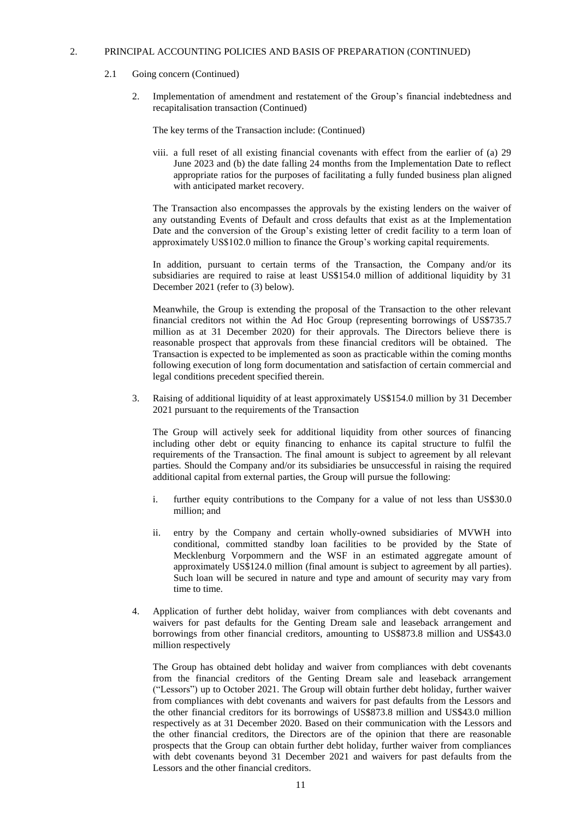### 2.1 Going concern (Continued)

2. Implementation of amendment and restatement of the Group's financial indebtedness and recapitalisation transaction (Continued)

The key terms of the Transaction include: (Continued)

viii. a full reset of all existing financial covenants with effect from the earlier of (a) 29 June 2023 and (b) the date falling 24 months from the Implementation Date to reflect appropriate ratios for the purposes of facilitating a fully funded business plan aligned with anticipated market recovery.

The Transaction also encompasses the approvals by the existing lenders on the waiver of any outstanding Events of Default and cross defaults that exist as at the Implementation Date and the conversion of the Group's existing letter of credit facility to a term loan of approximately US\$102.0 million to finance the Group's working capital requirements.

In addition, pursuant to certain terms of the Transaction, the Company and/or its subsidiaries are required to raise at least US\$154.0 million of additional liquidity by 31 December 2021 (refer to (3) below).

Meanwhile, the Group is extending the proposal of the Transaction to the other relevant financial creditors not within the Ad Hoc Group (representing borrowings of US\$735.7 million as at 31 December 2020) for their approvals. The Directors believe there is reasonable prospect that approvals from these financial creditors will be obtained. The Transaction is expected to be implemented as soon as practicable within the coming months following execution of long form documentation and satisfaction of certain commercial and legal conditions precedent specified therein.

3. Raising of additional liquidity of at least approximately US\$154.0 million by 31 December 2021 pursuant to the requirements of the Transaction

The Group will actively seek for additional liquidity from other sources of financing including other debt or equity financing to enhance its capital structure to fulfil the requirements of the Transaction. The final amount is subject to agreement by all relevant parties. Should the Company and/or its subsidiaries be unsuccessful in raising the required additional capital from external parties, the Group will pursue the following:

- i. further equity contributions to the Company for a value of not less than US\$30.0 million; and
- ii. entry by the Company and certain wholly-owned subsidiaries of MVWH into conditional, committed standby loan facilities to be provided by the State of Mecklenburg Vorpommern and the WSF in an estimated aggregate amount of approximately US\$124.0 million (final amount is subject to agreement by all parties). Such loan will be secured in nature and type and amount of security may vary from time to time.
- 4. Application of further debt holiday, waiver from compliances with debt covenants and waivers for past defaults for the Genting Dream sale and leaseback arrangement and borrowings from other financial creditors, amounting to US\$873.8 million and US\$43.0 million respectively

The Group has obtained debt holiday and waiver from compliances with debt covenants from the financial creditors of the Genting Dream sale and leaseback arrangement ("Lessors") up to October 2021. The Group will obtain further debt holiday, further waiver from compliances with debt covenants and waivers for past defaults from the Lessors and the other financial creditors for its borrowings of US\$873.8 million and US\$43.0 million respectively as at 31 December 2020. Based on their communication with the Lessors and the other financial creditors, the Directors are of the opinion that there are reasonable prospects that the Group can obtain further debt holiday, further waiver from compliances with debt covenants beyond 31 December 2021 and waivers for past defaults from the Lessors and the other financial creditors.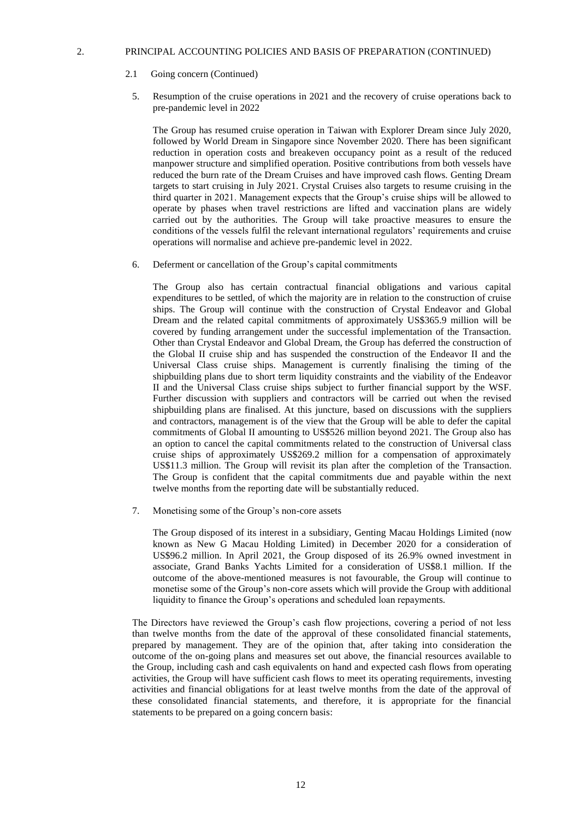- 2.1 Going concern (Continued)
	- 5. Resumption of the cruise operations in 2021 and the recovery of cruise operations back to pre-pandemic level in 2022

The Group has resumed cruise operation in Taiwan with Explorer Dream since July 2020, followed by World Dream in Singapore since November 2020. There has been significant reduction in operation costs and breakeven occupancy point as a result of the reduced manpower structure and simplified operation. Positive contributions from both vessels have reduced the burn rate of the Dream Cruises and have improved cash flows. Genting Dream targets to start cruising in July 2021. Crystal Cruises also targets to resume cruising in the third quarter in 2021. Management expects that the Group's cruise ships will be allowed to operate by phases when travel restrictions are lifted and vaccination plans are widely carried out by the authorities. The Group will take proactive measures to ensure the conditions of the vessels fulfil the relevant international regulators' requirements and cruise operations will normalise and achieve pre-pandemic level in 2022.

6. Deferment or cancellation of the Group's capital commitments

The Group also has certain contractual financial obligations and various capital expenditures to be settled, of which the majority are in relation to the construction of cruise ships. The Group will continue with the construction of Crystal Endeavor and Global Dream and the related capital commitments of approximately US\$365.9 million will be covered by funding arrangement under the successful implementation of the Transaction. Other than Crystal Endeavor and Global Dream, the Group has deferred the construction of the Global II cruise ship and has suspended the construction of the Endeavor II and the Universal Class cruise ships. Management is currently finalising the timing of the shipbuilding plans due to short term liquidity constraints and the viability of the Endeavor II and the Universal Class cruise ships subject to further financial support by the WSF. Further discussion with suppliers and contractors will be carried out when the revised shipbuilding plans are finalised. At this juncture, based on discussions with the suppliers and contractors, management is of the view that the Group will be able to defer the capital commitments of Global II amounting to US\$526 million beyond 2021. The Group also has an option to cancel the capital commitments related to the construction of Universal class cruise ships of approximately US\$269.2 million for a compensation of approximately US\$11.3 million. The Group will revisit its plan after the completion of the Transaction. The Group is confident that the capital commitments due and payable within the next twelve months from the reporting date will be substantially reduced.

7. Monetising some of the Group's non-core assets

The Group disposed of its interest in a subsidiary, Genting Macau Holdings Limited (now known as New G Macau Holding Limited) in December 2020 for a consideration of US\$96.2 million. In April 2021, the Group disposed of its 26.9% owned investment in associate, Grand Banks Yachts Limited for a consideration of US\$8.1 million. If the outcome of the above-mentioned measures is not favourable, the Group will continue to monetise some of the Group's non-core assets which will provide the Group with additional liquidity to finance the Group's operations and scheduled loan repayments.

The Directors have reviewed the Group's cash flow projections, covering a period of not less than twelve months from the date of the approval of these consolidated financial statements, prepared by management. They are of the opinion that, after taking into consideration the outcome of the on-going plans and measures set out above, the financial resources available to the Group, including cash and cash equivalents on hand and expected cash flows from operating activities, the Group will have sufficient cash flows to meet its operating requirements, investing activities and financial obligations for at least twelve months from the date of the approval of these consolidated financial statements, and therefore, it is appropriate for the financial statements to be prepared on a going concern basis: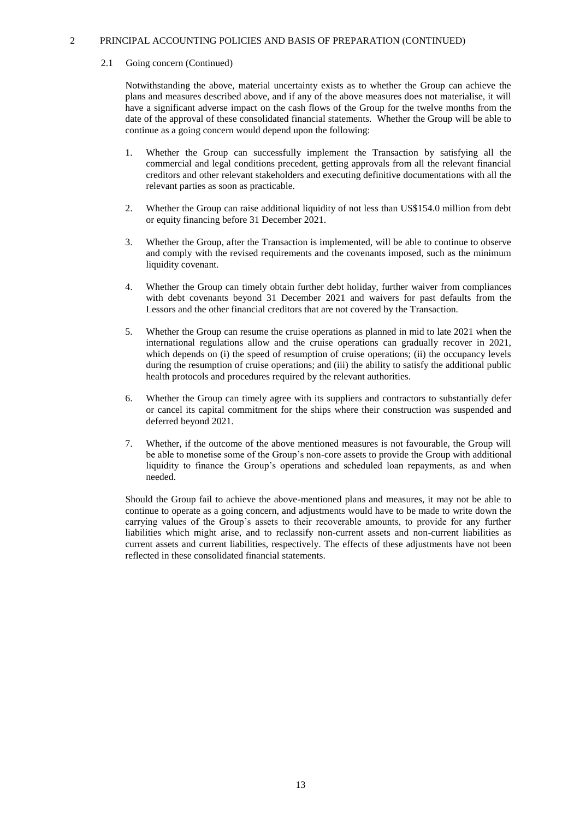#### 2.1 Going concern (Continued)

Notwithstanding the above, material uncertainty exists as to whether the Group can achieve the plans and measures described above, and if any of the above measures does not materialise, it will have a significant adverse impact on the cash flows of the Group for the twelve months from the date of the approval of these consolidated financial statements. Whether the Group will be able to continue as a going concern would depend upon the following:

- 1. Whether the Group can successfully implement the Transaction by satisfying all the commercial and legal conditions precedent, getting approvals from all the relevant financial creditors and other relevant stakeholders and executing definitive documentations with all the relevant parties as soon as practicable.
- 2. Whether the Group can raise additional liquidity of not less than US\$154.0 million from debt or equity financing before 31 December 2021.
- 3. Whether the Group, after the Transaction is implemented, will be able to continue to observe and comply with the revised requirements and the covenants imposed, such as the minimum liquidity covenant.
- 4. Whether the Group can timely obtain further debt holiday, further waiver from compliances with debt covenants beyond 31 December 2021 and waivers for past defaults from the Lessors and the other financial creditors that are not covered by the Transaction.
- 5. Whether the Group can resume the cruise operations as planned in mid to late 2021 when the international regulations allow and the cruise operations can gradually recover in 2021, which depends on (i) the speed of resumption of cruise operations; (ii) the occupancy levels during the resumption of cruise operations; and (iii) the ability to satisfy the additional public health protocols and procedures required by the relevant authorities.
- 6. Whether the Group can timely agree with its suppliers and contractors to substantially defer or cancel its capital commitment for the ships where their construction was suspended and deferred beyond 2021.
- 7. Whether, if the outcome of the above mentioned measures is not favourable, the Group will be able to monetise some of the Group's non-core assets to provide the Group with additional liquidity to finance the Group's operations and scheduled loan repayments, as and when needed.

Should the Group fail to achieve the above-mentioned plans and measures, it may not be able to continue to operate as a going concern, and adjustments would have to be made to write down the carrying values of the Group's assets to their recoverable amounts, to provide for any further liabilities which might arise, and to reclassify non-current assets and non-current liabilities as current assets and current liabilities, respectively. The effects of these adjustments have not been reflected in these consolidated financial statements.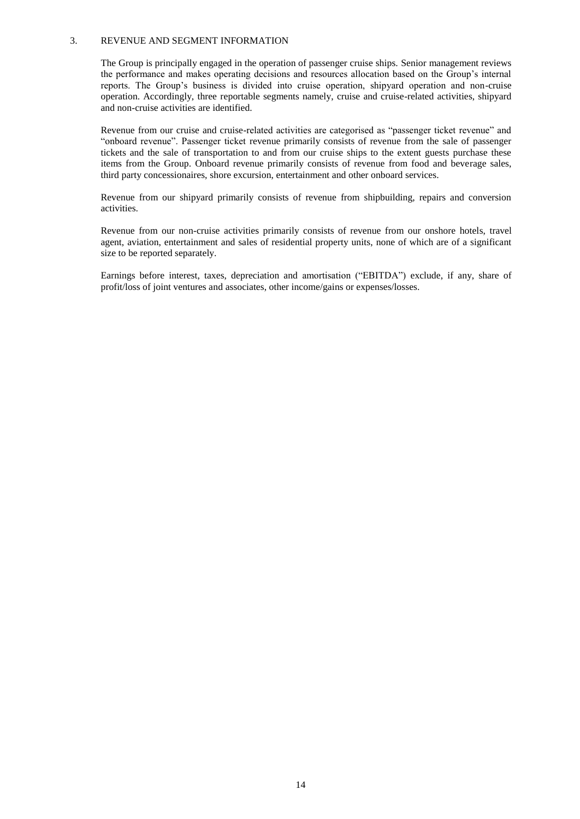### 3. REVENUE AND SEGMENT INFORMATION

The Group is principally engaged in the operation of passenger cruise ships. Senior management reviews the performance and makes operating decisions and resources allocation based on the Group's internal reports. The Group's business is divided into cruise operation, shipyard operation and non-cruise operation. Accordingly, three reportable segments namely, cruise and cruise-related activities, shipyard and non-cruise activities are identified.

Revenue from our cruise and cruise-related activities are categorised as "passenger ticket revenue" and "onboard revenue". Passenger ticket revenue primarily consists of revenue from the sale of passenger tickets and the sale of transportation to and from our cruise ships to the extent guests purchase these items from the Group. Onboard revenue primarily consists of revenue from food and beverage sales, third party concessionaires, shore excursion, entertainment and other onboard services.

Revenue from our shipyard primarily consists of revenue from shipbuilding, repairs and conversion activities.

Revenue from our non-cruise activities primarily consists of revenue from our onshore hotels, travel agent, aviation, entertainment and sales of residential property units, none of which are of a significant size to be reported separately.

Earnings before interest, taxes, depreciation and amortisation ("EBITDA") exclude, if any, share of profit/loss of joint ventures and associates, other income/gains or expenses/losses.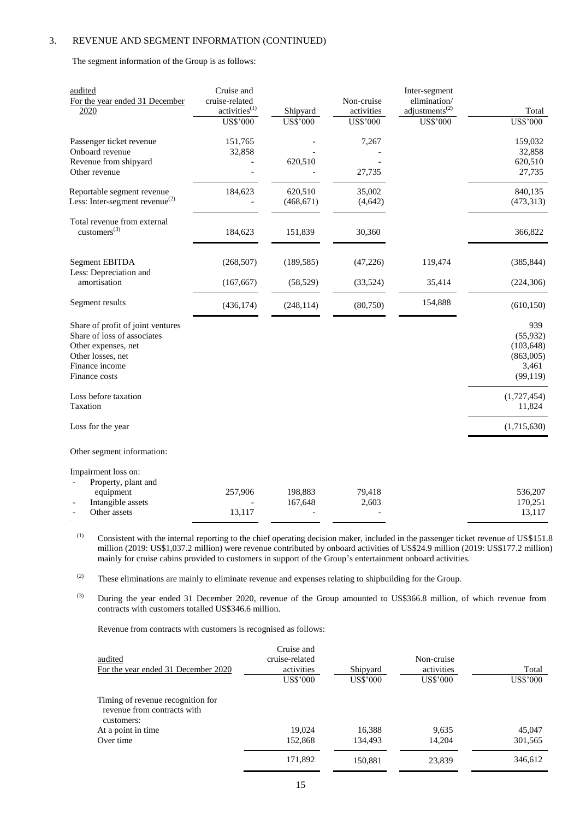The segment information of the Group is as follows:

| audited<br>For the year ended 31 December<br>2020                                                                                               | Cruise and<br>cruise-related<br>activities <sup>(1)</sup> | Shipyard              | Non-cruise<br>activities | Inter-segment<br>elimination/<br>adjustments <sup><math>(2)</math></sup> | Total                                                             |
|-------------------------------------------------------------------------------------------------------------------------------------------------|-----------------------------------------------------------|-----------------------|--------------------------|--------------------------------------------------------------------------|-------------------------------------------------------------------|
|                                                                                                                                                 | <b>US\$'000</b>                                           | <b>US\$'000</b>       | <b>US\$'000</b>          | <b>US\$'000</b>                                                          | <b>US\$'000</b>                                                   |
| Passenger ticket revenue<br>Onboard revenue<br>Revenue from shipyard<br>Other revenue                                                           | 151,765<br>32,858                                         | 620,510               | 7,267<br>27,735          |                                                                          | 159,032<br>32,858<br>620,510<br>27,735                            |
|                                                                                                                                                 |                                                           |                       |                          |                                                                          |                                                                   |
| Reportable segment revenue<br>Less: Inter-segment revenue $^{(2)}$                                                                              | 184,623                                                   | 620,510<br>(468, 671) | 35,002<br>(4,642)        |                                                                          | 840,135<br>(473,313)                                              |
| Total revenue from external<br>customers $^{(3)}$                                                                                               | 184,623                                                   | 151,839               | 30,360                   |                                                                          | 366,822                                                           |
| <b>Segment EBITDA</b><br>Less: Depreciation and                                                                                                 | (268, 507)                                                | (189, 585)            | (47, 226)                | 119,474                                                                  | (385, 844)                                                        |
| amortisation                                                                                                                                    | (167, 667)                                                | (58, 529)             | (33,524)                 | 35,414                                                                   | (224, 306)                                                        |
| Segment results                                                                                                                                 | (436, 174)                                                | (248, 114)            | (80,750)                 | 154,888                                                                  | (610, 150)                                                        |
| Share of profit of joint ventures<br>Share of loss of associates<br>Other expenses, net<br>Other losses, net<br>Finance income<br>Finance costs |                                                           |                       |                          |                                                                          | 939<br>(55, 932)<br>(103, 648)<br>(863,005)<br>3,461<br>(99, 119) |
| Loss before taxation<br>Taxation                                                                                                                |                                                           |                       |                          |                                                                          | (1,727,454)<br>11,824                                             |
| Loss for the year                                                                                                                               |                                                           |                       |                          |                                                                          | (1,715,630)                                                       |
| Other segment information:                                                                                                                      |                                                           |                       |                          |                                                                          |                                                                   |
| Impairment loss on:<br>Property, plant and<br>equipment<br>Intangible assets<br>Other assets                                                    | 257,906<br>13,117                                         | 198,883<br>167,648    | 79,418<br>2,603          |                                                                          | 536,207<br>170,251<br>13,117                                      |

(1) Consistent with the internal reporting to the chief operating decision maker, included in the passenger ticket revenue of US\$151.8 million (2019: US\$1,037.2 million) were revenue contributed by onboard activities of US\$24.9 million (2019: US\$177.2 million) mainly for cruise cabins provided to customers in support of the Group's entertainment onboard activities.

(2) These eliminations are mainly to eliminate revenue and expenses relating to shipbuilding for the Group.

(3) During the year ended 31 December 2020, revenue of the Group amounted to US\$366.8 million, of which revenue from contracts with customers totalled US\$346.6 million.

Revenue from contracts with customers is recognised as follows:

| audited<br>For the year ended 31 December 2020                                 | Cruise and<br>cruise-related<br>activities<br>US\$'000 | Shipyard<br>US\$'000 | Non-cruise<br>activities<br><b>US\$'000</b> | Total<br>US\$'000 |
|--------------------------------------------------------------------------------|--------------------------------------------------------|----------------------|---------------------------------------------|-------------------|
| Timing of revenue recognition for<br>revenue from contracts with<br>customers: |                                                        |                      |                                             |                   |
| At a point in time                                                             | 19.024                                                 | 16,388               | 9,635                                       | 45,047            |
| Over time                                                                      | 152,868                                                | 134.493              | 14.204                                      | 301,565           |
|                                                                                | 171,892                                                | 150,881              | 23,839                                      | 346,612           |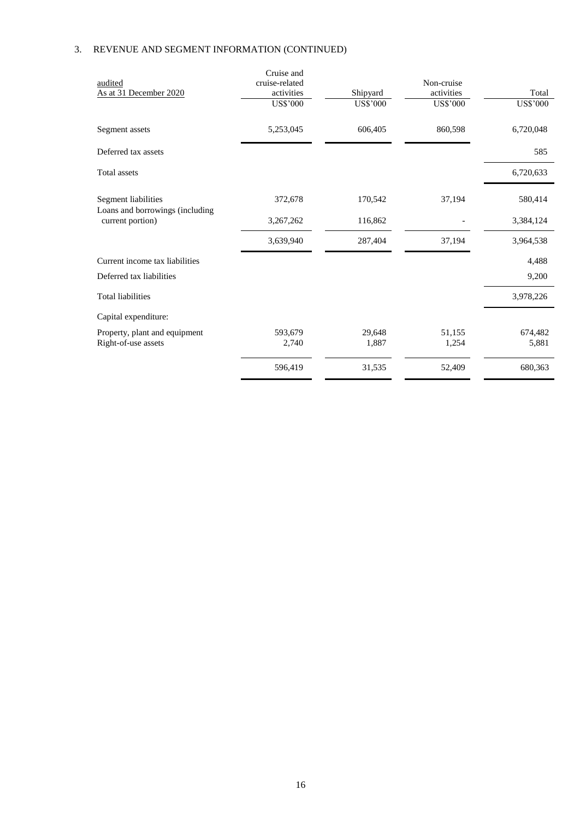| audited<br>As at 31 December 2020                      | Cruise and<br>cruise-related<br>activities<br><b>US\$'000</b> | Shipyard<br><b>US\$'000</b> | Non-cruise<br>activities<br><b>US\$'000</b> | Total<br><b>US\$'000</b> |
|--------------------------------------------------------|---------------------------------------------------------------|-----------------------------|---------------------------------------------|--------------------------|
| Segment assets                                         | 5,253,045                                                     | 606,405                     | 860,598                                     | 6,720,048                |
| Deferred tax assets                                    |                                                               |                             |                                             | 585                      |
| Total assets                                           |                                                               |                             |                                             | 6,720,633                |
| Segment liabilities<br>Loans and borrowings (including | 372,678                                                       | 170,542                     | 37,194                                      | 580,414                  |
| current portion)                                       | 3,267,262                                                     | 116,862                     |                                             | 3,384,124                |
|                                                        | 3,639,940                                                     | 287,404                     | 37,194                                      | 3,964,538                |
| Current income tax liabilities                         |                                                               |                             |                                             | 4,488                    |
| Deferred tax liabilities                               |                                                               |                             |                                             | 9,200                    |
| <b>Total liabilities</b>                               |                                                               |                             |                                             | 3,978,226                |
| Capital expenditure:                                   |                                                               |                             |                                             |                          |
| Property, plant and equipment<br>Right-of-use assets   | 593,679<br>2,740                                              | 29,648<br>1,887             | 51,155<br>1,254                             | 674,482<br>5,881         |
|                                                        | 596,419                                                       | 31,535                      | 52,409                                      | 680,363                  |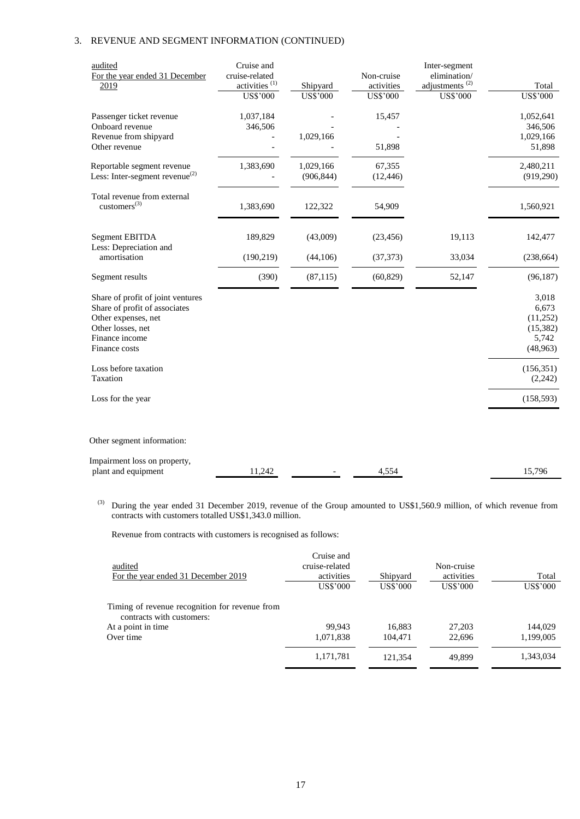| audited<br>For the year ended 31 December<br>2019                                                                                                 | Cruise and<br>cruise-related<br>activities $(1)$<br><b>US\$'000</b> | Shipyard<br><b>US\$'000</b> | Non-cruise<br>activities<br><b>US\$'000</b> | Inter-segment<br>elimination/<br>adjustments $^{(2)}$<br><b>US\$'000</b> | Total<br><b>US\$'000</b>                                     |
|---------------------------------------------------------------------------------------------------------------------------------------------------|---------------------------------------------------------------------|-----------------------------|---------------------------------------------|--------------------------------------------------------------------------|--------------------------------------------------------------|
| Passenger ticket revenue<br>Onboard revenue<br>Revenue from shipyard<br>Other revenue                                                             | 1,037,184<br>346,506                                                | 1,029,166                   | 15,457<br>51,898                            |                                                                          | 1,052,641<br>346,506<br>1,029,166                            |
| Reportable segment revenue<br>Less: Inter-segment revenue $^{(2)}$                                                                                | 1,383,690                                                           | 1,029,166<br>(906, 844)     | 67,355<br>(12, 446)                         |                                                                          | 51,898<br>2,480,211<br>(919, 290)                            |
| Total revenue from external<br>$\text{customers}^{(3)}$                                                                                           | 1,383,690                                                           | 122,322                     | 54,909                                      |                                                                          | 1,560,921                                                    |
| <b>Segment EBITDA</b>                                                                                                                             | 189,829                                                             | (43,009)                    | (23, 456)                                   | 19,113                                                                   | 142,477                                                      |
| Less: Depreciation and<br>amortisation                                                                                                            | (190, 219)                                                          | (44,106)                    | (37, 373)                                   | 33,034                                                                   | (238, 664)                                                   |
| Segment results                                                                                                                                   | (390)                                                               | (87, 115)                   | (60, 829)                                   | 52,147                                                                   | (96, 187)                                                    |
| Share of profit of joint ventures<br>Share of profit of associates<br>Other expenses, net<br>Other losses, net<br>Finance income<br>Finance costs |                                                                     |                             |                                             |                                                                          | 3,018<br>6,673<br>(11,252)<br>(15, 382)<br>5,742<br>(48,963) |
| Loss before taxation<br>Taxation                                                                                                                  |                                                                     |                             |                                             |                                                                          | (156, 351)<br>(2, 242)                                       |
| Loss for the year                                                                                                                                 |                                                                     |                             |                                             |                                                                          | (158, 593)                                                   |
| Other segment information:                                                                                                                        |                                                                     |                             |                                             |                                                                          |                                                              |
| Impairment loss on property,<br>plant and equipment                                                                                               | 11,242                                                              |                             | 4,554                                       |                                                                          | 15,796                                                       |

<sup>(3)</sup> During the year ended 31 December 2019, revenue of the Group amounted to US\$1,560.9 million, of which revenue from contracts with customers totalled US\$1,343.0 million.

Revenue from contracts with customers is recognised as follows:

| audited<br>For the year ended 31 December 2019                              | Cruise and<br>cruise-related<br>activities<br>US\$'000 | Shipyard<br>US\$'000 | Non-cruise<br>activities<br><b>US\$'000</b> | Total<br>US\$'000 |
|-----------------------------------------------------------------------------|--------------------------------------------------------|----------------------|---------------------------------------------|-------------------|
| Timing of revenue recognition for revenue from<br>contracts with customers: |                                                        |                      |                                             |                   |
| At a point in time                                                          | 99.943                                                 | 16,883               | 27,203                                      | 144,029           |
| Over time                                                                   | 1,071,838                                              | 104.471              | 22,696                                      | 1,199,005         |
|                                                                             | 1,171,781                                              | 121,354              | 49.899                                      | 1,343,034         |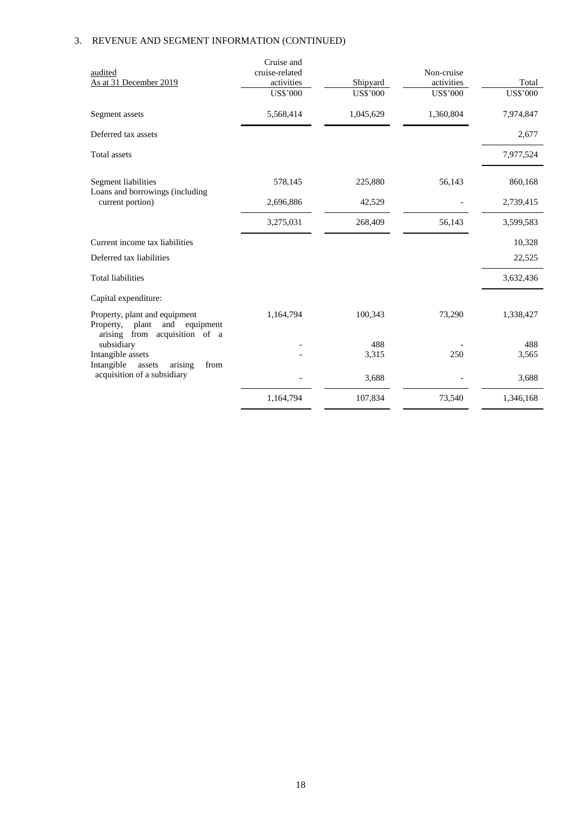|                                                                                                          | Cruise and      |                 |                 |                 |
|----------------------------------------------------------------------------------------------------------|-----------------|-----------------|-----------------|-----------------|
| audited                                                                                                  | cruise-related  |                 | Non-cruise      |                 |
| As at 31 December 2019                                                                                   | activities      | Shipyard        | activities      | Total           |
|                                                                                                          | <b>US\$'000</b> | <b>US\$'000</b> | <b>US\$'000</b> | <b>US\$'000</b> |
| Segment assets                                                                                           | 5,568,414       | 1,045,629       | 1,360,804       | 7,974,847       |
| Deferred tax assets                                                                                      |                 |                 |                 | 2,677           |
| Total assets                                                                                             |                 |                 |                 | 7,977,524       |
| Segment liabilities                                                                                      | 578,145         | 225,880         | 56,143          | 860,168         |
| Loans and borrowings (including<br>current portion)                                                      | 2,696,886       | 42,529          |                 | 2,739,415       |
|                                                                                                          | 3,275,031       | 268,409         | 56,143          | 3,599,583       |
| Current income tax liabilities                                                                           |                 |                 |                 | 10,328          |
| Deferred tax liabilities                                                                                 |                 |                 |                 | 22,525          |
| <b>Total liabilities</b>                                                                                 |                 |                 |                 | 3,632,436       |
| Capital expenditure:                                                                                     |                 |                 |                 |                 |
| Property, plant and equipment<br>Property,<br>plant<br>and<br>equipment<br>arising from acquisition of a | 1,164,794       | 100,343         | 73,290          | 1,338,427       |
| subsidiary                                                                                               |                 | 488             |                 | 488             |
| Intangible assets                                                                                        |                 | 3,315           | 250             | 3,565           |
| Intangible<br>from<br>arising<br>assets                                                                  |                 |                 |                 |                 |
| acquisition of a subsidiary                                                                              |                 | 3,688           |                 | 3,688           |
|                                                                                                          | 1,164,794       | 107,834         | 73,540          | 1,346,168       |
|                                                                                                          |                 |                 |                 |                 |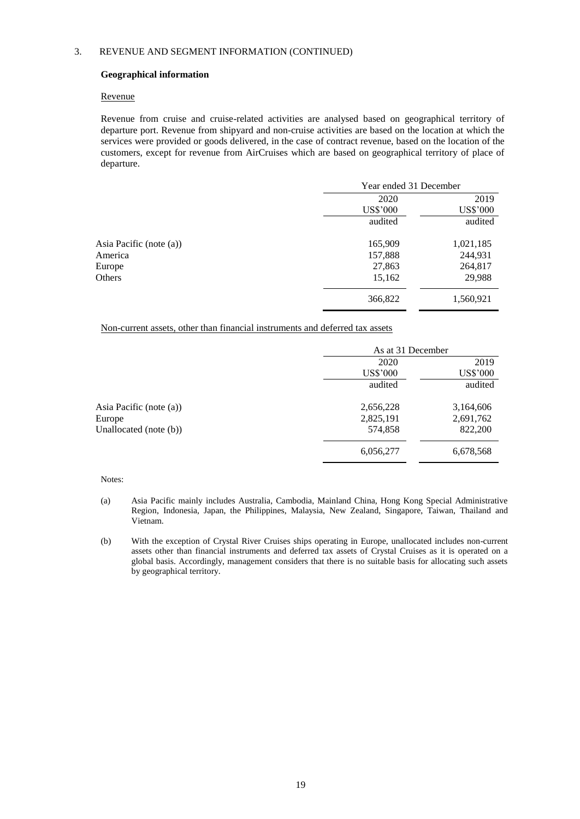# **Geographical information**

### Revenue

Revenue from cruise and cruise-related activities are analysed based on geographical territory of departure port. Revenue from shipyard and non-cruise activities are based on the location at which the services were provided or goods delivered, in the case of contract revenue, based on the location of the customers, except for revenue from AirCruises which are based on geographical territory of place of departure.

|                         | Year ended 31 December |                 |  |
|-------------------------|------------------------|-----------------|--|
|                         | 2020                   | 2019            |  |
|                         | <b>US\$'000</b>        | <b>US\$'000</b> |  |
|                         | audited                | audited         |  |
| Asia Pacific (note (a)) | 165,909                | 1,021,185       |  |
| America                 | 157,888                | 244,931         |  |
| Europe                  | 27,863                 | 264,817         |  |
| Others                  | 15,162                 | 29,988          |  |
|                         | 366,822                | 1,560,921       |  |

Non-current assets, other than financial instruments and deferred tax assets

|                           | As at 31 December |                 |
|---------------------------|-------------------|-----------------|
|                           | 2020              | 2019            |
|                           | <b>US\$'000</b>   | <b>US\$'000</b> |
|                           | audited           | audited         |
| Asia Pacific (note (a))   | 2,656,228         | 3,164,606       |
| Europe                    | 2,825,191         | 2,691,762       |
| Unallocated (note $(b)$ ) | 574,858           | 822,200         |
|                           | 6,056,277         | 6,678,568       |

#### Notes:

- (a) Asia Pacific mainly includes Australia, Cambodia, Mainland China, Hong Kong Special Administrative Region, Indonesia, Japan, the Philippines, Malaysia, New Zealand, Singapore, Taiwan, Thailand and Vietnam.
- (b) With the exception of Crystal River Cruises ships operating in Europe, unallocated includes non-current assets other than financial instruments and deferred tax assets of Crystal Cruises as it is operated on a global basis. Accordingly, management considers that there is no suitable basis for allocating such assets by geographical territory.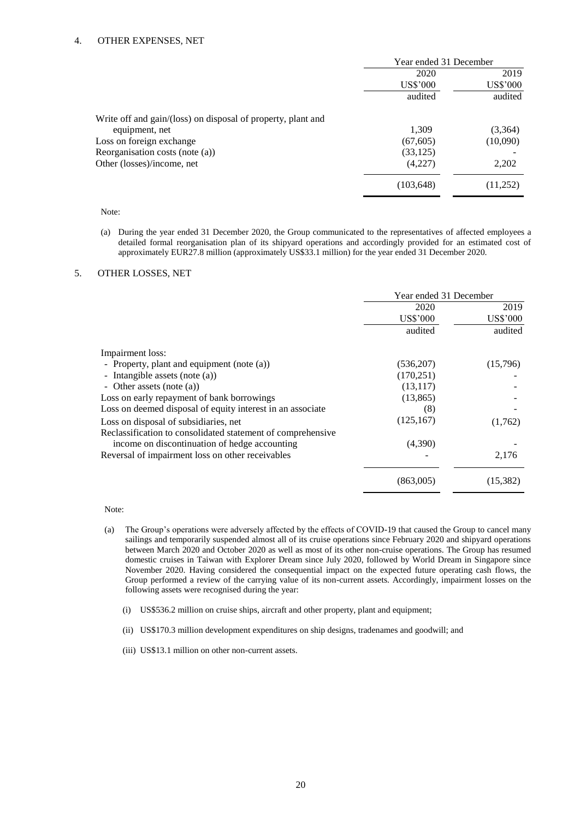|                                                              | Year ended 31 December |          |
|--------------------------------------------------------------|------------------------|----------|
|                                                              | 2020                   | 2019     |
|                                                              | <b>US\$'000</b>        | US\$'000 |
|                                                              | audited                | audited  |
| Write off and gain/(loss) on disposal of property, plant and |                        |          |
| equipment, net                                               | 1,309                  | (3,364)  |
| Loss on foreign exchange                                     | (67, 605)              | (10,090) |
| Reorganisation costs (note $(a)$ )                           | (33, 125)              |          |
| Other (losses)/income, net                                   | (4,227)                | 2,202    |
|                                                              | (103, 648)             | (11,252) |

#### Note:

(a) During the year ended 31 December 2020, the Group communicated to the representatives of affected employees a detailed formal reorganisation plan of its shipyard operations and accordingly provided for an estimated cost of approximately EUR27.8 million (approximately US\$33.1 million) for the year ended 31 December 2020.

## 5. OTHER LOSSES, NET

|                                                             | Year ended 31 December |           |
|-------------------------------------------------------------|------------------------|-----------|
|                                                             | 2020                   | 2019      |
|                                                             | US\$'000               | US\$'000  |
|                                                             | audited                | audited   |
| Impairment loss:                                            |                        |           |
| - Property, plant and equipment (note (a))                  | (536,207)              | (15,796)  |
| - Intangible assets (note (a))                              | (170, 251)             |           |
| - Other assets (note $(a)$ )                                | (13, 117)              |           |
| Loss on early repayment of bank borrowings                  | (13, 865)              |           |
| Loss on deemed disposal of equity interest in an associate  | (8)                    |           |
| Loss on disposal of subsidiaries, net                       | (125, 167)             | (1,762)   |
| Reclassification to consolidated statement of comprehensive |                        |           |
| income on discontinuation of hedge accounting               | (4,390)                |           |
| Reversal of impairment loss on other receivables            |                        | 2,176     |
|                                                             | (863,005)              | (15, 382) |

Note:

- (a) The Group's operations were adversely affected by the effects of COVID-19 that caused the Group to cancel many sailings and temporarily suspended almost all of its cruise operations since February 2020 and shipyard operations between March 2020 and October 2020 as well as most of its other non-cruise operations. The Group has resumed domestic cruises in Taiwan with Explorer Dream since July 2020, followed by World Dream in Singapore since November 2020. Having considered the consequential impact on the expected future operating cash flows, the Group performed a review of the carrying value of its non-current assets. Accordingly, impairment losses on the following assets were recognised during the year:
	- (i) US\$536.2 million on cruise ships, aircraft and other property, plant and equipment;
	- (ii) US\$170.3 million development expenditures on ship designs, tradenames and goodwill; and
	- (iii) US\$13.1 million on other non-current assets.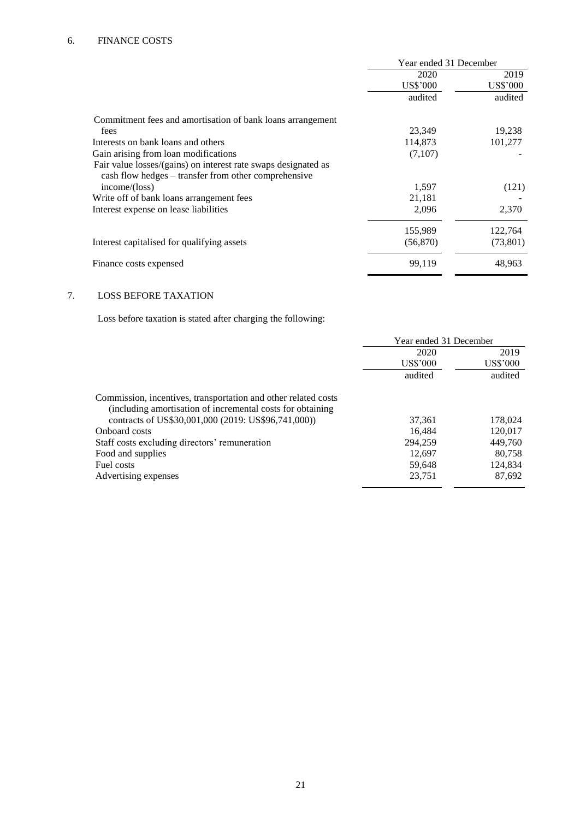|                                                                                                                        | Year ended 31 December |                 |
|------------------------------------------------------------------------------------------------------------------------|------------------------|-----------------|
|                                                                                                                        | 2020                   | 2019            |
|                                                                                                                        | US\$'000               | <b>US\$'000</b> |
|                                                                                                                        | audited                | audited         |
| Commitment fees and amortisation of bank loans arrangement                                                             |                        |                 |
| fees                                                                                                                   | 23,349                 | 19,238          |
| Interests on bank loans and others                                                                                     | 114,873                | 101,277         |
| Gain arising from loan modifications                                                                                   | (7,107)                |                 |
| Fair value losses/(gains) on interest rate swaps designated as<br>cash flow hedges – transfer from other comprehensive |                        |                 |
| income/(loss)                                                                                                          | 1,597                  | (121)           |
| Write off of bank loans arrangement fees                                                                               | 21,181                 |                 |
| Interest expense on lease liabilities                                                                                  | 2,096                  | 2,370           |
|                                                                                                                        | 155,989                | 122,764         |
| Interest capitalised for qualifying assets                                                                             | (56, 870)              | (73, 801)       |
| Finance costs expensed                                                                                                 | 99,119                 | 48,963          |

# 7. LOSS BEFORE TAXATION

Loss before taxation is stated after charging the following:

|                                                                                                                               | Year ended 31 December |          |
|-------------------------------------------------------------------------------------------------------------------------------|------------------------|----------|
|                                                                                                                               | 2020                   | 2019     |
|                                                                                                                               | US\$'000               | US\$'000 |
|                                                                                                                               | audited                | audited  |
| Commission, incentives, transportation and other related costs<br>(including amortisation of incremental costs for obtaining) |                        |          |
| contracts of US\$30,001,000 (2019: US\$96,741,000))                                                                           | 37,361                 | 178,024  |
| Onboard costs                                                                                                                 | 16.484                 | 120,017  |
| Staff costs excluding directors' remuneration                                                                                 | 294,259                | 449,760  |
| Food and supplies                                                                                                             | 12.697                 | 80,758   |
| Fuel costs                                                                                                                    | 59,648                 | 124,834  |
| Advertising expenses                                                                                                          | 23,751                 | 87,692   |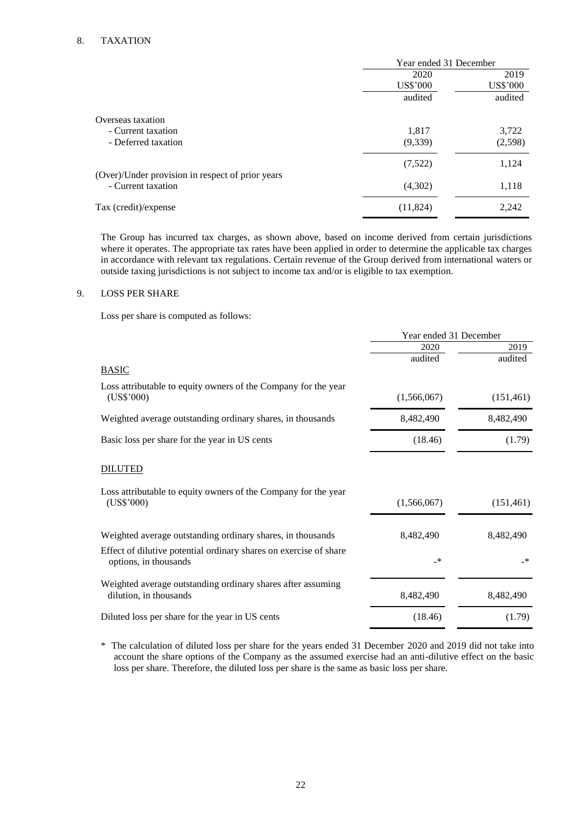# 8. TAXATION

|                                                  | Year ended 31 December |          |
|--------------------------------------------------|------------------------|----------|
|                                                  | 2020                   | 2019     |
|                                                  | <b>US\$'000</b>        | US\$'000 |
|                                                  | audited                | audited  |
| Overseas taxation                                |                        |          |
| - Current taxation                               | 1,817                  | 3,722    |
| - Deferred taxation                              | (9,339)                | (2,598)  |
|                                                  | (7,522)                | 1,124    |
| (Over)/Under provision in respect of prior years |                        |          |
| - Current taxation                               | (4,302)                | 1,118    |
| Tax (credit)/expense                             | (11,824)               | 2,242    |

The Group has incurred tax charges, as shown above, based on income derived from certain jurisdictions where it operates. The appropriate tax rates have been applied in order to determine the applicable tax charges in accordance with relevant tax regulations. Certain revenue of the Group derived from international waters or outside taxing jurisdictions is not subject to income tax and/or is eligible to tax exemption.

# 9. LOSS PER SHARE

Loss per share is computed as follows:

|                                                                                            | Year ended 31 December |               |
|--------------------------------------------------------------------------------------------|------------------------|---------------|
|                                                                                            | 2020                   | 2019          |
|                                                                                            | audited                | audited       |
| <b>BASIC</b>                                                                               |                        |               |
| Loss attributable to equity owners of the Company for the year<br>$(US$^{\circ}000)$       | (1,566,067)            | (151, 461)    |
| Weighted average outstanding ordinary shares, in thousands                                 | 8,482,490              | 8,482,490     |
| Basic loss per share for the year in US cents                                              | (18.46)                | (1.79)        |
| <b>DILUTED</b>                                                                             |                        |               |
| Loss attributable to equity owners of the Company for the year<br>(US\$'000)               | (1,566,067)            | (151, 461)    |
| Weighted average outstanding ordinary shares, in thousands                                 | 8,482,490              | 8,482,490     |
| Effect of dilutive potential ordinary shares on exercise of share<br>options, in thousands | _*                     | $\rightarrow$ |
| Weighted average outstanding ordinary shares after assuming<br>dilution, in thousands      | 8,482,490              | 8,482,490     |
| Diluted loss per share for the year in US cents                                            | (18.46)                | (1.79)        |

\* The calculation of diluted loss per share for the years ended 31 December 2020 and 2019 did not take into account the share options of the Company as the assumed exercise had an anti-dilutive effect on the basic loss per share. Therefore, the diluted loss per share is the same as basic loss per share.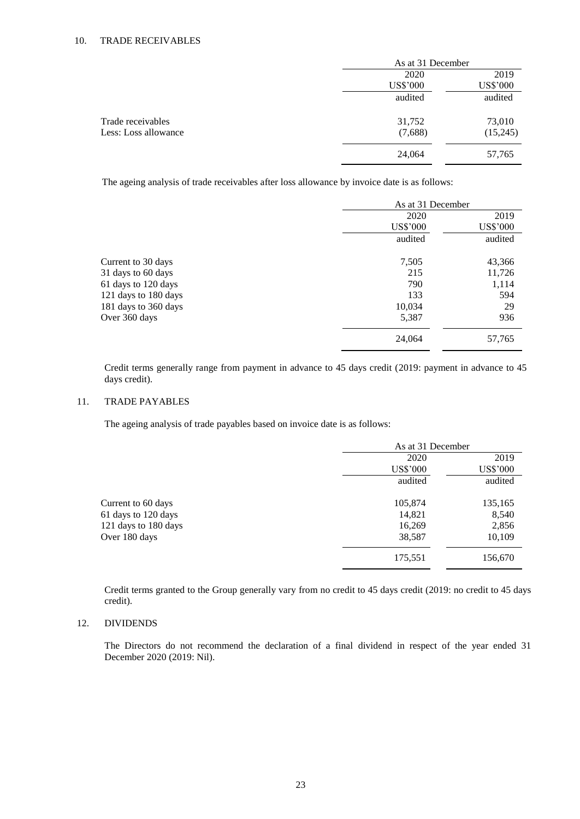|                      |                 | As at 31 December |  |
|----------------------|-----------------|-------------------|--|
|                      | 2020            | 2019              |  |
|                      | <b>US\$'000</b> | <b>US\$'000</b>   |  |
|                      | audited         | audited           |  |
| Trade receivables    | 31,752          | 73,010            |  |
| Less: Loss allowance | (7,688)         | (15,245)          |  |
|                      | 24,064          | 57,765            |  |

The ageing analysis of trade receivables after loss allowance by invoice date is as follows:

|                      | As at 31 December |                 |
|----------------------|-------------------|-----------------|
|                      | 2020              | 2019            |
|                      | <b>US\$'000</b>   | <b>US\$'000</b> |
|                      | audited           | audited         |
| Current to 30 days   | 7,505             | 43,366          |
| 31 days to 60 days   | 215               | 11,726          |
| 61 days to 120 days  | 790               | 1,114           |
| 121 days to 180 days | 133               | 594             |
| 181 days to 360 days | 10,034            | 29              |
| Over 360 days        | 5,387             | 936             |
|                      | 24,064            | 57,765          |

Credit terms generally range from payment in advance to 45 days credit (2019: payment in advance to 45 days credit).

# 11. TRADE PAYABLES

The ageing analysis of trade payables based on invoice date is as follows:

|                      | As at 31 December |                 |
|----------------------|-------------------|-----------------|
|                      | 2020              | 2019            |
|                      | <b>US\$'000</b>   | <b>US\$'000</b> |
|                      | audited           | audited         |
| Current to 60 days   | 105,874           | 135,165         |
| 61 days to 120 days  | 14,821            | 8,540           |
| 121 days to 180 days | 16,269            | 2,856           |
| Over 180 days        | 38,587            | 10,109          |
|                      | 175,551           | 156,670         |

Credit terms granted to the Group generally vary from no credit to 45 days credit (2019: no credit to 45 days credit).

# 12. DIVIDENDS

The Directors do not recommend the declaration of a final dividend in respect of the year ended 31 December 2020 (2019: Nil).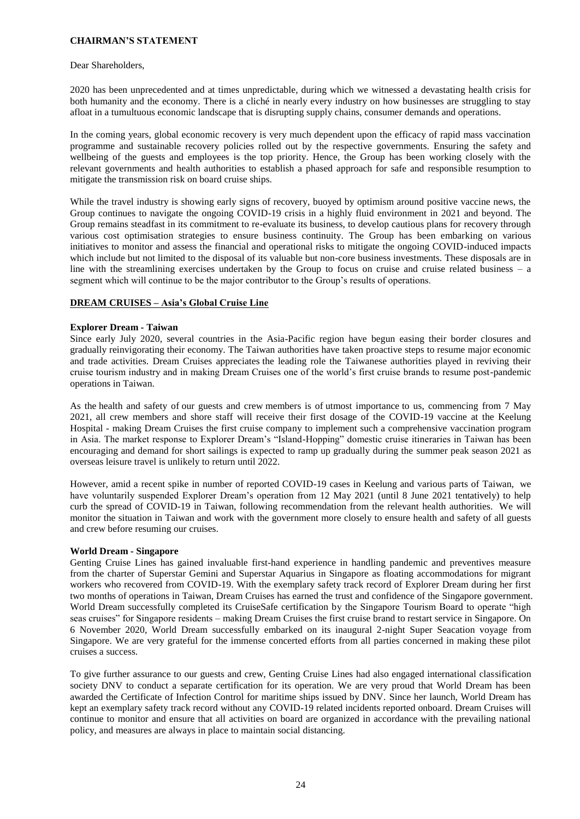# **CHAIRMAN'S STATEMENT**

### Dear Shareholders,

2020 has been unprecedented and at times unpredictable, during which we witnessed a devastating health crisis for both humanity and the economy. There is a cliché in nearly every industry on how businesses are struggling to stay afloat in a tumultuous economic landscape that is disrupting supply chains, consumer demands and operations.

In the coming years, global economic recovery is very much dependent upon the efficacy of rapid mass vaccination programme and sustainable recovery policies rolled out by the respective governments. Ensuring the safety and wellbeing of the guests and employees is the top priority. Hence, the Group has been working closely with the relevant governments and health authorities to establish a phased approach for safe and responsible resumption to mitigate the transmission risk on board cruise ships.

While the travel industry is showing early signs of recovery, buoyed by optimism around positive vaccine news, the Group continues to navigate the ongoing COVID-19 crisis in a highly fluid environment in 2021 and beyond. The Group remains steadfast in its commitment to re-evaluate its business, to develop cautious plans for recovery through various cost optimisation strategies to ensure business continuity. The Group has been embarking on various initiatives to monitor and assess the financial and operational risks to mitigate the ongoing COVID-induced impacts which include but not limited to the disposal of its valuable but non-core business investments. These disposals are in line with the streamlining exercises undertaken by the Group to focus on cruise and cruise related business – a segment which will continue to be the major contributor to the Group's results of operations.

# **DREAM CRUISES – Asia's Global Cruise Line**

## **Explorer Dream - Taiwan**

Since early July 2020, several countries in the Asia-Pacific region have begun easing their border closures and gradually reinvigorating their economy. The Taiwan authorities have taken proactive steps to resume major economic and trade activities. Dream Cruises appreciates the leading role the Taiwanese authorities played in reviving their cruise tourism industry and in making Dream Cruises one of the world's first cruise brands to resume post-pandemic operations in Taiwan.

As the health and safety of our guests and crew members is of utmost importance to us, commencing from 7 May 2021, all crew members and shore staff will receive their first dosage of the COVID-19 vaccine at the Keelung Hospital - making Dream Cruises the first cruise company to implement such a comprehensive vaccination program in Asia. The market response to Explorer Dream's "Island-Hopping" domestic cruise itineraries in Taiwan has been encouraging and demand for short sailings is expected to ramp up gradually during the summer peak season 2021 as overseas leisure travel is unlikely to return until 2022.

However, amid a recent spike in number of reported COVID-19 cases in Keelung and various parts of Taiwan, we have voluntarily suspended Explorer Dream's operation from 12 May 2021 (until 8 June 2021 tentatively) to help curb the spread of COVID-19 in Taiwan, following recommendation from the relevant health authorities. We will monitor the situation in Taiwan and work with the government more closely to ensure health and safety of all guests and crew before resuming our cruises.

# **World Dream - Singapore**

Genting Cruise Lines has gained invaluable first-hand experience in handling pandemic and preventives measure from the charter of Superstar Gemini and Superstar Aquarius in Singapore as floating accommodations for migrant workers who recovered from COVID-19. With the exemplary safety track record of Explorer Dream during her first two months of operations in Taiwan, Dream Cruises has earned the trust and confidence of the Singapore government. World Dream successfully completed its CruiseSafe certification by the Singapore Tourism Board to operate "high seas cruises" for Singapore residents – making Dream Cruises the first cruise brand to restart service in Singapore. On 6 November 2020, World Dream successfully embarked on its inaugural 2-night Super Seacation voyage from Singapore. We are very grateful for the immense concerted efforts from all parties concerned in making these pilot cruises a success.

To give further assurance to our guests and crew, Genting Cruise Lines had also engaged international classification society DNV to conduct a separate certification for its operation. We are very proud that World Dream has been awarded the Certificate of Infection Control for maritime ships issued by DNV. Since her launch, World Dream has kept an exemplary safety track record without any COVID-19 related incidents reported onboard. Dream Cruises will continue to monitor and ensure that all activities on board are organized in accordance with the prevailing national policy, and measures are always in place to maintain social distancing.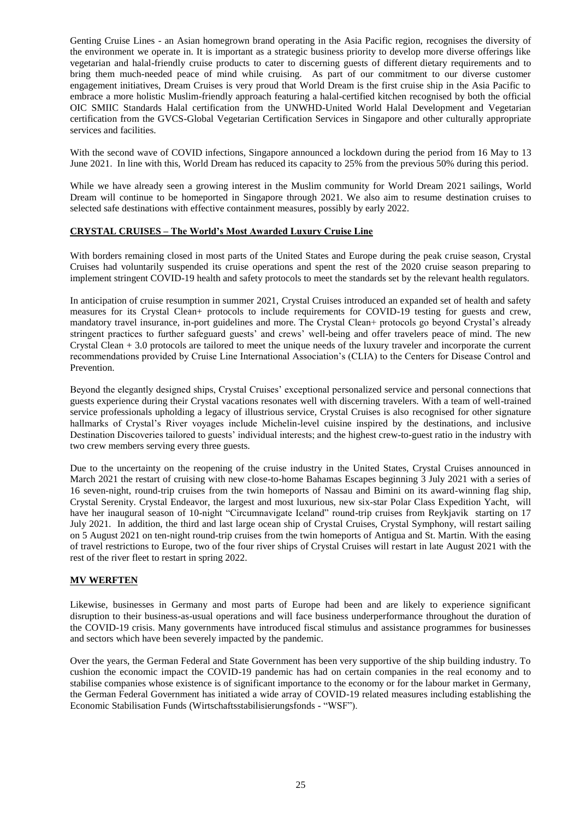Genting Cruise Lines - an Asian homegrown brand operating in the Asia Pacific region, recognises the diversity of the environment we operate in. It is important as a strategic business priority to develop more diverse offerings like vegetarian and halal-friendly cruise products to cater to discerning guests of different dietary requirements and to bring them much-needed peace of mind while cruising. As part of our commitment to our diverse customer engagement initiatives, Dream Cruises is very proud that World Dream is the first cruise ship in the Asia Pacific to embrace a more holistic Muslim-friendly approach featuring a halal-certified kitchen recognised by both the official OIC SMIIC Standards Halal certification from the UNWHD-United World Halal Development and Vegetarian certification from the GVCS-Global Vegetarian Certification Services in Singapore and other culturally appropriate services and facilities.

With the second wave of COVID infections, Singapore announced a lockdown during the period from 16 May to 13 June 2021. In line with this, World Dream has reduced its capacity to 25% from the previous 50% during this period.

While we have already seen a growing interest in the Muslim community for World Dream 2021 sailings, World Dream will continue to be homeported in Singapore through 2021. We also aim to resume destination cruises to selected safe destinations with effective containment measures, possibly by early 2022.

# **CRYSTAL CRUISES – The World's Most Awarded Luxury Cruise Line**

With borders remaining closed in most parts of the United States and Europe during the peak cruise season, Crystal Cruises had voluntarily suspended its cruise operations and spent the rest of the 2020 cruise season preparing to implement stringent COVID-19 health and safety protocols to meet the standards set by the relevant health regulators.

In anticipation of cruise resumption in summer 2021, Crystal Cruises introduced an expanded set of health and safety measures for its Crystal Clean+ protocols to include requirements for COVID-19 testing for guests and crew, mandatory travel insurance, in-port guidelines and more. The Crystal Clean+ protocols go beyond Crystal's already stringent practices to further safeguard guests' and crews' well-being and offer travelers peace of mind. The new Crystal Clean + 3.0 protocols are tailored to meet the unique needs of the luxury traveler and incorporate the current recommendations provided by Cruise Line International Association's (CLIA) to the Centers for Disease Control and Prevention.

Beyond the elegantly designed ships, Crystal Cruises' exceptional personalized service and personal connections that guests experience during their Crystal vacations resonates well with discerning travelers. With a team of well-trained service professionals upholding a legacy of illustrious service, Crystal Cruises is also recognised for other signature hallmarks of Crystal's River voyages include Michelin-level cuisine inspired by the destinations, and inclusive Destination Discoveries tailored to guests' individual interests; and the highest crew-to-guest ratio in the industry with two crew members serving every three guests.

Due to the uncertainty on the reopening of the cruise industry in the United States, Crystal Cruises announced in March 2021 the restart of cruising with new close-to-home Bahamas Escapes beginning 3 July 2021 with a series of 16 seven-night, round-trip cruises from the twin homeports of Nassau and Bimini on its award-winning flag ship, Crystal Serenity. Crystal Endeavor, the largest and most luxurious, new six-star Polar Class Expedition Yacht, will have her inaugural season of 10-night "Circumnavigate Iceland" round-trip cruises from Reykjavik starting on 17 July 2021. In addition, the third and last large ocean ship of Crystal Cruises, Crystal Symphony, will restart sailing on 5 August 2021 on ten-night round-trip cruises from the twin homeports of Antigua and St. Martin. With the easing of travel restrictions to Europe, two of the four river ships of Crystal Cruises will restart in late August 2021 with the rest of the river fleet to restart in spring 2022.

# **MV WERFTEN**

Likewise, businesses in Germany and most parts of Europe had been and are likely to experience significant disruption to their business-as-usual operations and will face business underperformance throughout the duration of the COVID-19 crisis. Many governments have introduced fiscal stimulus and assistance programmes for businesses and sectors which have been severely impacted by the pandemic.

Over the years, the German Federal and State Government has been very supportive of the ship building industry. To cushion the economic impact the COVID-19 pandemic has had on certain companies in the real economy and to stabilise companies whose existence is of significant importance to the economy or for the labour market in Germany, the German Federal Government has initiated a wide array of COVID-19 related measures including establishing the Economic Stabilisation Funds (Wirtschaftsstabilisierungsfonds - "WSF").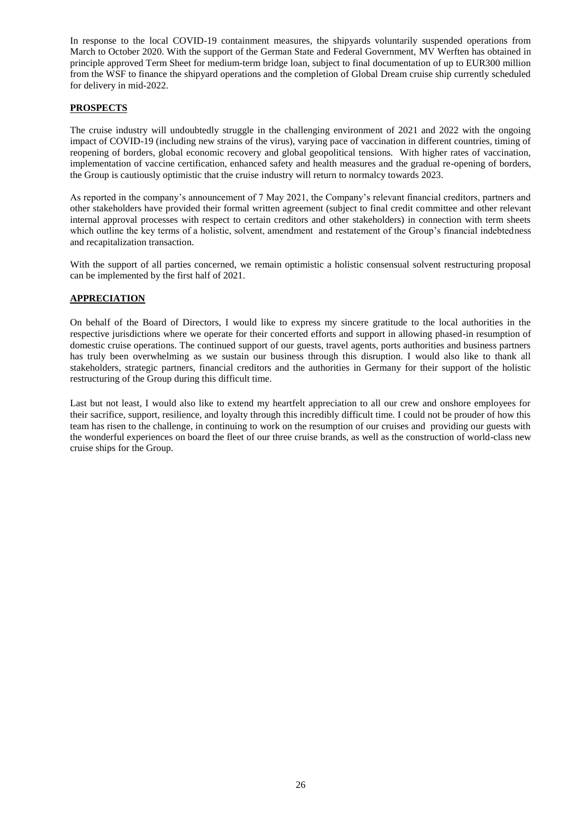In response to the local COVID-19 containment measures, the shipyards voluntarily suspended operations from March to October 2020. With the support of the German State and Federal Government, MV Werften has obtained in principle approved Term Sheet for medium-term bridge loan, subject to final documentation of up to EUR300 million from the WSF to finance the shipyard operations and the completion of Global Dream cruise ship currently scheduled for delivery in mid-2022.

# **PROSPECTS**

The cruise industry will undoubtedly struggle in the challenging environment of 2021 and 2022 with the ongoing impact of COVID-19 (including new strains of the virus), varying pace of vaccination in different countries, timing of reopening of borders, global economic recovery and global geopolitical tensions. With higher rates of vaccination, implementation of vaccine certification, enhanced safety and health measures and the gradual re-opening of borders, the Group is cautiously optimistic that the cruise industry will return to normalcy towards 2023.

As reported in the company's announcement of 7 May 2021, the Company's relevant financial creditors, partners and other stakeholders have provided their formal written agreement (subject to final credit committee and other relevant internal approval processes with respect to certain creditors and other stakeholders) in connection with term sheets which outline the key terms of a holistic, solvent, amendment and restatement of the Group's financial indebtedness and recapitalization transaction.

With the support of all parties concerned, we remain optimistic a holistic consensual solvent restructuring proposal can be implemented by the first half of 2021.

# **APPRECIATION**

On behalf of the Board of Directors, I would like to express my sincere gratitude to the local authorities in the respective jurisdictions where we operate for their concerted efforts and support in allowing phased-in resumption of domestic cruise operations. The continued support of our guests, travel agents, ports authorities and business partners has truly been overwhelming as we sustain our business through this disruption. I would also like to thank all stakeholders, strategic partners, financial creditors and the authorities in Germany for their support of the holistic restructuring of the Group during this difficult time.

Last but not least, I would also like to extend my heartfelt appreciation to all our crew and onshore employees for their sacrifice, support, resilience, and loyalty through this incredibly difficult time. I could not be prouder of how this team has risen to the challenge, in continuing to work on the resumption of our cruises and providing our guests with the wonderful experiences on board the fleet of our three cruise brands, as well as the construction of world-class new cruise ships for the Group.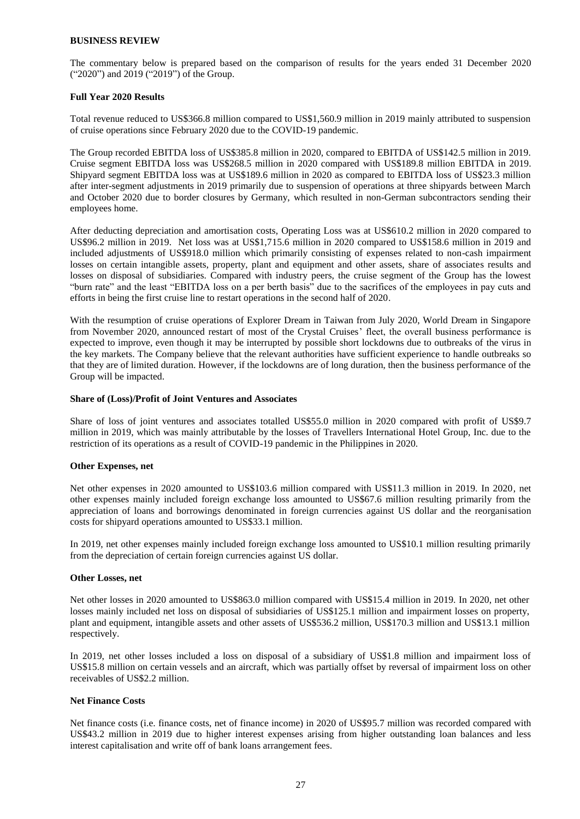#### **BUSINESS REVIEW**

The commentary below is prepared based on the comparison of results for the years ended 31 December 2020 ("2020") and 2019 ("2019") of the Group.

### **Full Year 2020 Results**

Total revenue reduced to US\$366.8 million compared to US\$1,560.9 million in 2019 mainly attributed to suspension of cruise operations since February 2020 due to the COVID-19 pandemic.

The Group recorded EBITDA loss of US\$385.8 million in 2020, compared to EBITDA of US\$142.5 million in 2019. Cruise segment EBITDA loss was US\$268.5 million in 2020 compared with US\$189.8 million EBITDA in 2019. Shipyard segment EBITDA loss was at US\$189.6 million in 2020 as compared to EBITDA loss of US\$23.3 million after inter-segment adjustments in 2019 primarily due to suspension of operations at three shipyards between March and October 2020 due to border closures by Germany, which resulted in non-German subcontractors sending their employees home.

After deducting depreciation and amortisation costs, Operating Loss was at US\$610.2 million in 2020 compared to US\$96.2 million in 2019. Net loss was at US\$1,715.6 million in 2020 compared to US\$158.6 million in 2019 and included adjustments of US\$918.0 million which primarily consisting of expenses related to non-cash impairment losses on certain intangible assets, property, plant and equipment and other assets, share of associates results and losses on disposal of subsidiaries. Compared with industry peers, the cruise segment of the Group has the lowest "burn rate" and the least "EBITDA loss on a per berth basis" due to the sacrifices of the employees in pay cuts and efforts in being the first cruise line to restart operations in the second half of 2020.

With the resumption of cruise operations of Explorer Dream in Taiwan from July 2020, World Dream in Singapore from November 2020, announced restart of most of the Crystal Cruises' fleet, the overall business performance is expected to improve, even though it may be interrupted by possible short lockdowns due to outbreaks of the virus in the key markets. The Company believe that the relevant authorities have sufficient experience to handle outbreaks so that they are of limited duration. However, if the lockdowns are of long duration, then the business performance of the Group will be impacted.

### **Share of (Loss)/Profit of Joint Ventures and Associates**

Share of loss of joint ventures and associates totalled US\$55.0 million in 2020 compared with profit of US\$9.7 million in 2019, which was mainly attributable by the losses of Travellers International Hotel Group, Inc. due to the restriction of its operations as a result of COVID-19 pandemic in the Philippines in 2020.

### **Other Expenses, net**

Net other expenses in 2020 amounted to US\$103.6 million compared with US\$11.3 million in 2019. In 2020, net other expenses mainly included foreign exchange loss amounted to US\$67.6 million resulting primarily from the appreciation of loans and borrowings denominated in foreign currencies against US dollar and the reorganisation costs for shipyard operations amounted to US\$33.1 million.

In 2019, net other expenses mainly included foreign exchange loss amounted to US\$10.1 million resulting primarily from the depreciation of certain foreign currencies against US dollar.

### **Other Losses, net**

Net other losses in 2020 amounted to US\$863.0 million compared with US\$15.4 million in 2019. In 2020, net other losses mainly included net loss on disposal of subsidiaries of US\$125.1 million and impairment losses on property, plant and equipment, intangible assets and other assets of US\$536.2 million, US\$170.3 million and US\$13.1 million respectively.

In 2019, net other losses included a loss on disposal of a subsidiary of US\$1.8 million and impairment loss of US\$15.8 million on certain vessels and an aircraft, which was partially offset by reversal of impairment loss on other receivables of US\$2.2 million.

### **Net Finance Costs**

Net finance costs (i.e. finance costs, net of finance income) in 2020 of US\$95.7 million was recorded compared with US\$43.2 million in 2019 due to higher interest expenses arising from higher outstanding loan balances and less interest capitalisation and write off of bank loans arrangement fees.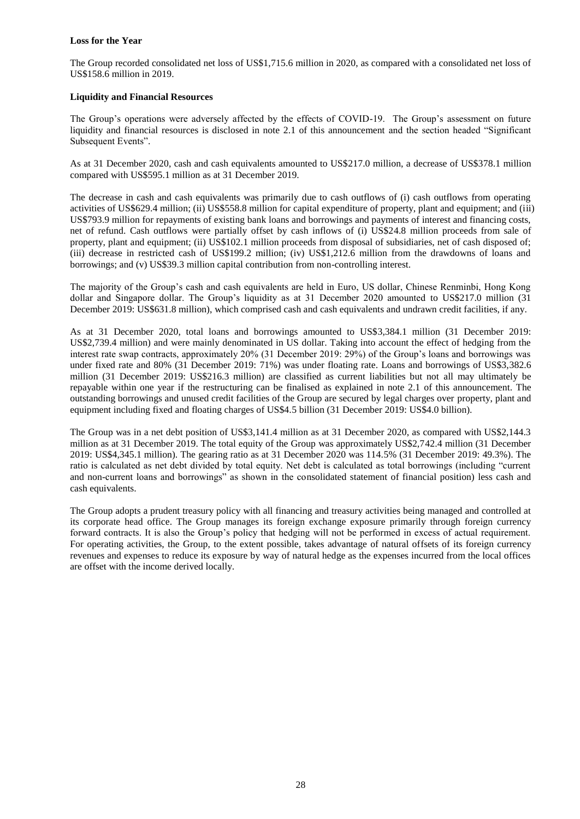## **Loss for the Year**

The Group recorded consolidated net loss of US\$1,715.6 million in 2020, as compared with a consolidated net loss of US\$158.6 million in 2019.

## **Liquidity and Financial Resources**

The Group's operations were adversely affected by the effects of COVID-19. The Group's assessment on future liquidity and financial resources is disclosed in note 2.1 of this announcement and the section headed "Significant Subsequent Events".

As at 31 December 2020, cash and cash equivalents amounted to US\$217.0 million, a decrease of US\$378.1 million compared with US\$595.1 million as at 31 December 2019.

The decrease in cash and cash equivalents was primarily due to cash outflows of (i) cash outflows from operating activities of US\$629.4 million; (ii) US\$558.8 million for capital expenditure of property, plant and equipment; and (iii) US\$793.9 million for repayments of existing bank loans and borrowings and payments of interest and financing costs, net of refund. Cash outflows were partially offset by cash inflows of (i) US\$24.8 million proceeds from sale of property, plant and equipment; (ii) US\$102.1 million proceeds from disposal of subsidiaries, net of cash disposed of; (iii) decrease in restricted cash of US\$199.2 million; (iv) US\$1,212.6 million from the drawdowns of loans and borrowings; and (v) US\$39.3 million capital contribution from non-controlling interest.

The majority of the Group's cash and cash equivalents are held in Euro, US dollar, Chinese Renminbi, Hong Kong dollar and Singapore dollar. The Group's liquidity as at 31 December 2020 amounted to US\$217.0 million (31 December 2019: US\$631.8 million), which comprised cash and cash equivalents and undrawn credit facilities, if any.

As at 31 December 2020, total loans and borrowings amounted to US\$3,384.1 million (31 December 2019: US\$2,739.4 million) and were mainly denominated in US dollar. Taking into account the effect of hedging from the interest rate swap contracts, approximately 20% (31 December 2019: 29%) of the Group's loans and borrowings was under fixed rate and 80% (31 December 2019: 71%) was under floating rate. Loans and borrowings of US\$3,382.6 million (31 December 2019: US\$216.3 million) are classified as current liabilities but not all may ultimately be repayable within one year if the restructuring can be finalised as explained in note 2.1 of this announcement. The outstanding borrowings and unused credit facilities of the Group are secured by legal charges over property, plant and equipment including fixed and floating charges of US\$4.5 billion (31 December 2019: US\$4.0 billion).

The Group was in a net debt position of US\$3,141.4 million as at 31 December 2020, as compared with US\$2,144.3 million as at 31 December 2019. The total equity of the Group was approximately US\$2,742.4 million (31 December 2019: US\$4,345.1 million). The gearing ratio as at 31 December 2020 was 114.5% (31 December 2019: 49.3%). The ratio is calculated as net debt divided by total equity. Net debt is calculated as total borrowings (including "current and non-current loans and borrowings" as shown in the consolidated statement of financial position) less cash and cash equivalents.

The Group adopts a prudent treasury policy with all financing and treasury activities being managed and controlled at its corporate head office. The Group manages its foreign exchange exposure primarily through foreign currency forward contracts. It is also the Group's policy that hedging will not be performed in excess of actual requirement. For operating activities, the Group, to the extent possible, takes advantage of natural offsets of its foreign currency revenues and expenses to reduce its exposure by way of natural hedge as the expenses incurred from the local offices are offset with the income derived locally.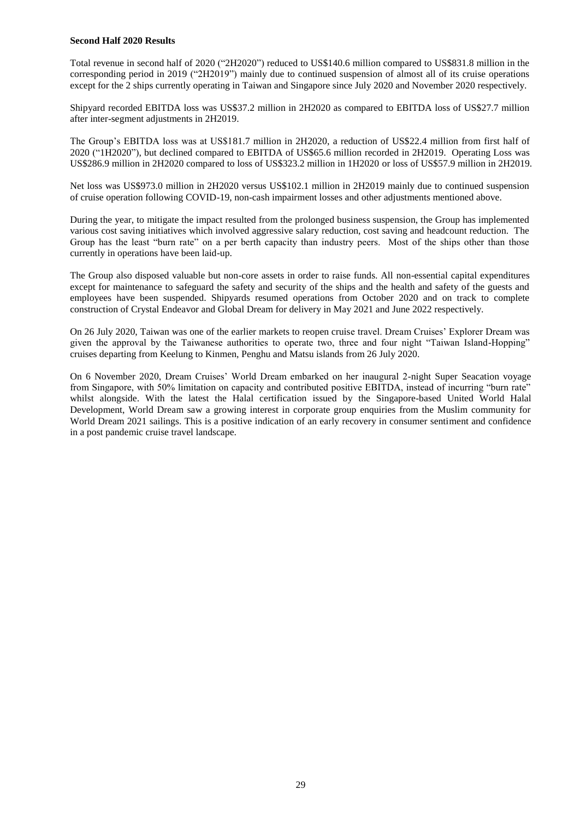### **Second Half 2020 Results**

Total revenue in second half of 2020 ("2H2020") reduced to US\$140.6 million compared to US\$831.8 million in the corresponding period in 2019 ("2H2019") mainly due to continued suspension of almost all of its cruise operations except for the 2 ships currently operating in Taiwan and Singapore since July 2020 and November 2020 respectively.

Shipyard recorded EBITDA loss was US\$37.2 million in 2H2020 as compared to EBITDA loss of US\$27.7 million after inter-segment adjustments in 2H2019.

The Group's EBITDA loss was at US\$181.7 million in 2H2020, a reduction of US\$22.4 million from first half of 2020 ("1H2020"), but declined compared to EBITDA of US\$65.6 million recorded in 2H2019. Operating Loss was US\$286.9 million in 2H2020 compared to loss of US\$323.2 million in 1H2020 or loss of US\$57.9 million in 2H2019.

Net loss was US\$973.0 million in 2H2020 versus US\$102.1 million in 2H2019 mainly due to continued suspension of cruise operation following COVID-19, non-cash impairment losses and other adjustments mentioned above.

During the year, to mitigate the impact resulted from the prolonged business suspension, the Group has implemented various cost saving initiatives which involved aggressive salary reduction, cost saving and headcount reduction. The Group has the least "burn rate" on a per berth capacity than industry peers. Most of the ships other than those currently in operations have been laid-up.

The Group also disposed valuable but non-core assets in order to raise funds. All non-essential capital expenditures except for maintenance to safeguard the safety and security of the ships and the health and safety of the guests and employees have been suspended. Shipyards resumed operations from October 2020 and on track to complete construction of Crystal Endeavor and Global Dream for delivery in May 2021 and June 2022 respectively.

On 26 July 2020, Taiwan was one of the earlier markets to reopen cruise travel. Dream Cruises' Explorer Dream was given the approval by the Taiwanese authorities to operate two, three and four night "Taiwan Island-Hopping" cruises departing from Keelung to Kinmen, Penghu and Matsu islands from 26 July 2020.

On 6 November 2020, Dream Cruises' World Dream embarked on her inaugural 2-night Super Seacation voyage from Singapore, with 50% limitation on capacity and contributed positive EBITDA, instead of incurring "burn rate" whilst alongside. With the latest the Halal certification issued by the Singapore-based United World Halal Development, World Dream saw a growing interest in corporate group enquiries from the Muslim community for World Dream 2021 sailings. This is a positive indication of an early recovery in consumer sentiment and confidence in a post pandemic cruise travel landscape.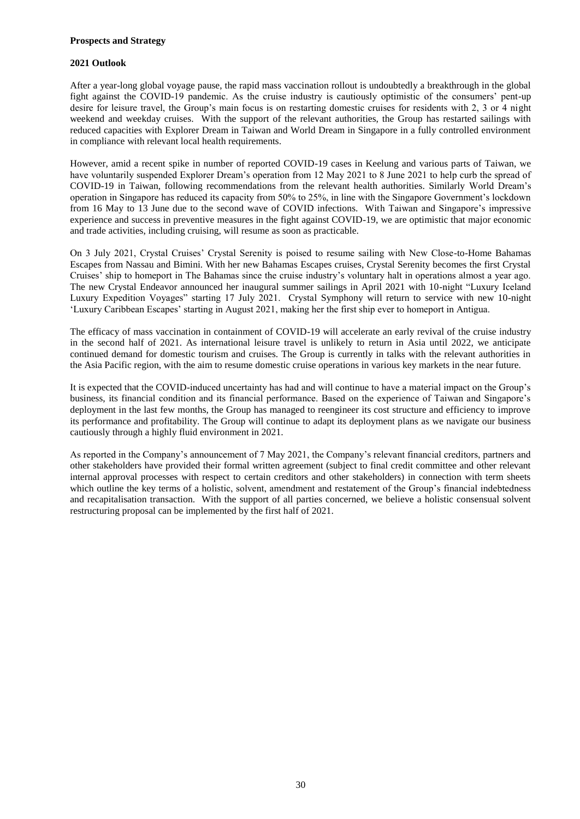## **Prospects and Strategy**

# **2021 Outlook**

After a year-long global voyage pause, the rapid mass vaccination rollout is undoubtedly a breakthrough in the global fight against the COVID-19 pandemic. As the cruise industry is cautiously optimistic of the consumers' pent-up desire for leisure travel, the Group's main focus is on restarting domestic cruises for residents with 2, 3 or 4 night weekend and weekday cruises. With the support of the relevant authorities, the Group has restarted sailings with reduced capacities with Explorer Dream in Taiwan and World Dream in Singapore in a fully controlled environment in compliance with relevant local health requirements.

However, amid a recent spike in number of reported COVID-19 cases in Keelung and various parts of Taiwan, we have voluntarily suspended Explorer Dream's operation from 12 May 2021 to 8 June 2021 to help curb the spread of COVID-19 in Taiwan, following recommendations from the relevant health authorities. Similarly World Dream's operation in Singapore has reduced its capacity from 50% to 25%, in line with the Singapore Government's lockdown from 16 May to 13 June due to the second wave of COVID infections. With Taiwan and Singapore's impressive experience and success in preventive measures in the fight against COVID-19, we are optimistic that major economic and trade activities, including cruising, will resume as soon as practicable.

On 3 July 2021, Crystal Cruises' Crystal Serenity is poised to resume sailing with New Close-to-Home Bahamas Escapes from Nassau and Bimini. With her new Bahamas Escapes cruises, Crystal Serenity becomes the first Crystal Cruises' ship to homeport in The Bahamas since the cruise industry's voluntary halt in operations almost a year ago. The new Crystal Endeavor announced her inaugural summer sailings in April 2021 with 10-night "Luxury Iceland Luxury Expedition Voyages" starting 17 July 2021. Crystal Symphony will return to service with new 10-night 'Luxury Caribbean Escapes' starting in August 2021, making her the first ship ever to homeport in Antigua.

The efficacy of mass vaccination in containment of COVID-19 will accelerate an early revival of the cruise industry in the second half of 2021. As international leisure travel is unlikely to return in Asia until 2022, we anticipate continued demand for domestic tourism and cruises. The Group is currently in talks with the relevant authorities in the Asia Pacific region, with the aim to resume domestic cruise operations in various key markets in the near future.

It is expected that the COVID-induced uncertainty has had and will continue to have a material impact on the Group's business, its financial condition and its financial performance. Based on the experience of Taiwan and Singapore's deployment in the last few months, the Group has managed to reengineer its cost structure and efficiency to improve its performance and profitability. The Group will continue to adapt its deployment plans as we navigate our business cautiously through a highly fluid environment in 2021.

As reported in the Company's announcement of 7 May 2021, the Company's relevant financial creditors, partners and other stakeholders have provided their formal written agreement (subject to final credit committee and other relevant internal approval processes with respect to certain creditors and other stakeholders) in connection with term sheets which outline the key terms of a holistic, solvent, amendment and restatement of the Group's financial indebtedness and recapitalisation transaction. With the support of all parties concerned, we believe a holistic consensual solvent restructuring proposal can be implemented by the first half of 2021.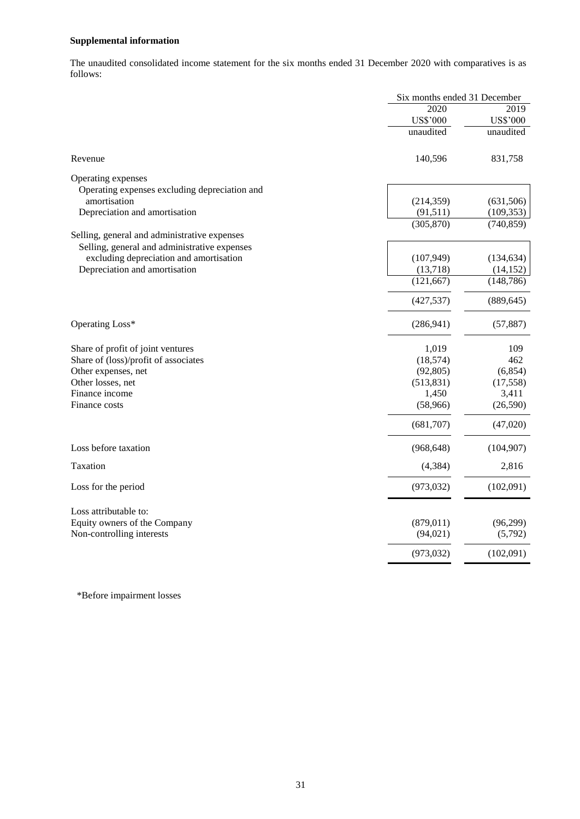# **Supplemental information**

The unaudited consolidated income statement for the six months ended 31 December 2020 with comparatives is as follows:

|                                               | Six months ended 31 December |                 |
|-----------------------------------------------|------------------------------|-----------------|
|                                               | 2020                         | 2019            |
|                                               | <b>US\$'000</b>              | <b>US\$'000</b> |
|                                               | unaudited                    | unaudited       |
| Revenue                                       | 140,596                      | 831,758         |
| Operating expenses                            |                              |                 |
| Operating expenses excluding depreciation and |                              |                 |
| amortisation                                  | (214, 359)                   | (631,506)       |
| Depreciation and amortisation                 | (91,511)                     | (109, 353)      |
|                                               | (305, 870)                   | (740, 859)      |
| Selling, general and administrative expenses  |                              |                 |
| Selling, general and administrative expenses  |                              |                 |
| excluding depreciation and amortisation       | (107, 949)                   | (134, 634)      |
| Depreciation and amortisation                 | (13,718)                     | (14, 152)       |
|                                               | (121, 667)                   | (148, 786)      |
|                                               | (427, 537)                   | (889, 645)      |
| Operating Loss*                               | (286, 941)                   | (57, 887)       |
| Share of profit of joint ventures             | 1,019                        | 109             |
| Share of (loss)/profit of associates          | (18, 574)                    | 462             |
| Other expenses, net                           | (92, 805)                    | (6, 854)        |
| Other losses, net                             | (513, 831)                   | (17, 558)       |
| Finance income                                | 1,450                        | 3,411           |
| Finance costs                                 | (58,966)                     | (26, 590)       |
|                                               | (681,707)                    | (47,020)        |
| Loss before taxation                          | (968, 648)                   | (104,907)       |
| Taxation                                      | (4, 384)                     | 2,816           |
| Loss for the period                           | (973, 032)                   | (102,091)       |
| Loss attributable to:                         |                              |                 |
| Equity owners of the Company                  | (879, 011)                   | (96,299)        |
| Non-controlling interests                     | (94, 021)                    | (5,792)         |
|                                               | (973, 032)                   | (102,091)       |
|                                               |                              |                 |

\*Before impairment losses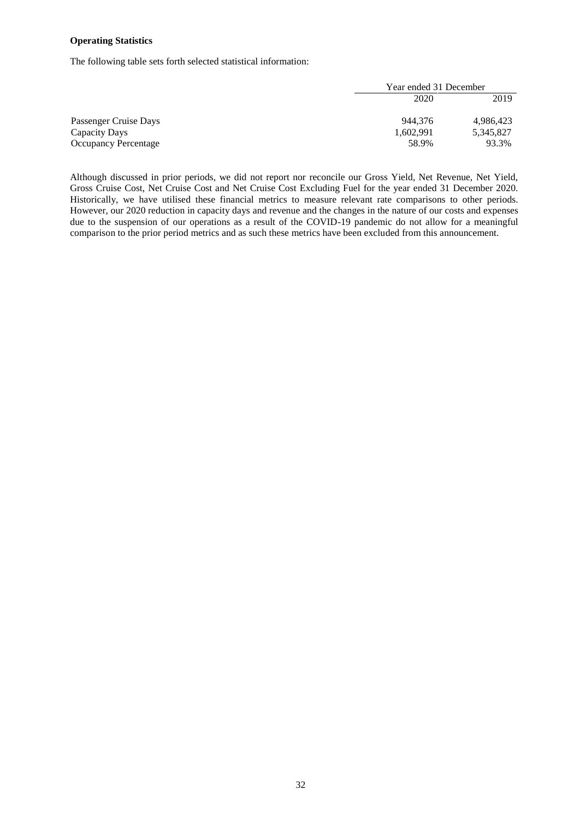## **Operating Statistics**

The following table sets forth selected statistical information:

|                             | Year ended 31 December |           |
|-----------------------------|------------------------|-----------|
|                             | 2020                   | 2019      |
| Passenger Cruise Days       | 944.376                | 4,986,423 |
| Capacity Days               | 1,602,991              | 5,345,827 |
| <b>Occupancy Percentage</b> | 58.9%                  | 93.3%     |

Although discussed in prior periods, we did not report nor reconcile our Gross Yield, Net Revenue, Net Yield, Gross Cruise Cost, Net Cruise Cost and Net Cruise Cost Excluding Fuel for the year ended 31 December 2020. Historically, we have utilised these financial metrics to measure relevant rate comparisons to other periods. However, our 2020 reduction in capacity days and revenue and the changes in the nature of our costs and expenses due to the suspension of our operations as a result of the COVID-19 pandemic do not allow for a meaningful comparison to the prior period metrics and as such these metrics have been excluded from this announcement.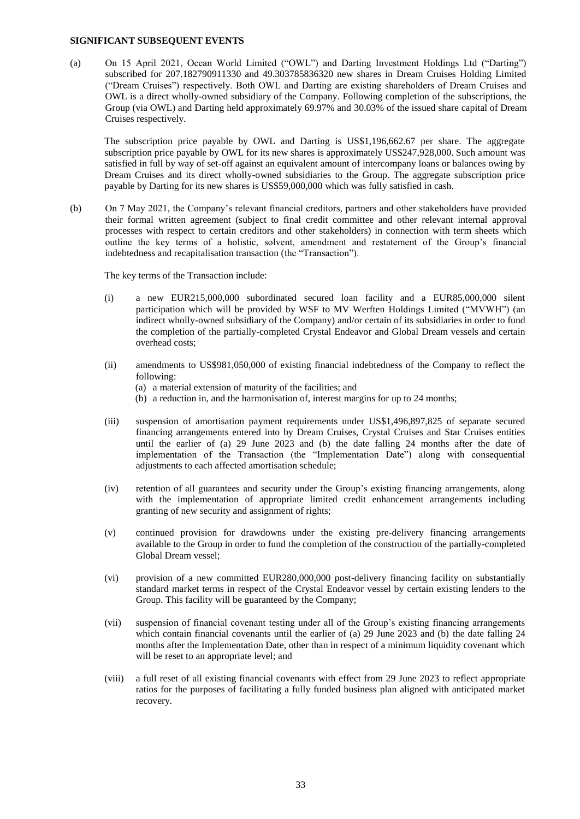#### **SIGNIFICANT SUBSEQUENT EVENTS**

(a) On 15 April 2021, Ocean World Limited ("OWL") and Darting Investment Holdings Ltd ("Darting") subscribed for 207.182790911330 and 49.303785836320 new shares in Dream Cruises Holding Limited ("Dream Cruises") respectively. Both OWL and Darting are existing shareholders of Dream Cruises and OWL is a direct wholly-owned subsidiary of the Company. Following completion of the subscriptions, the Group (via OWL) and Darting held approximately 69.97% and 30.03% of the issued share capital of Dream Cruises respectively.

The subscription price payable by OWL and Darting is US\$1,196,662.67 per share. The aggregate subscription price payable by OWL for its new shares is approximately US\$247,928,000. Such amount was satisfied in full by way of set-off against an equivalent amount of intercompany loans or balances owing by Dream Cruises and its direct wholly-owned subsidiaries to the Group. The aggregate subscription price payable by Darting for its new shares is US\$59,000,000 which was fully satisfied in cash.

(b) On 7 May 2021, the Company's relevant financial creditors, partners and other stakeholders have provided their formal written agreement (subject to final credit committee and other relevant internal approval processes with respect to certain creditors and other stakeholders) in connection with term sheets which outline the key terms of a holistic, solvent, amendment and restatement of the Group's financial indebtedness and recapitalisation transaction (the "Transaction").

The key terms of the Transaction include:

- (i) a new EUR215,000,000 subordinated secured loan facility and a EUR85,000,000 silent participation which will be provided by WSF to MV Werften Holdings Limited ("MVWH") (an indirect wholly-owned subsidiary of the Company) and/or certain of its subsidiaries in order to fund the completion of the partially-completed Crystal Endeavor and Global Dream vessels and certain overhead costs;
- (ii) amendments to US\$981,050,000 of existing financial indebtedness of the Company to reflect the following:
	- (a) a material extension of maturity of the facilities; and
	- (b) a reduction in, and the harmonisation of, interest margins for up to 24 months;
- (iii) suspension of amortisation payment requirements under US\$1,496,897,825 of separate secured financing arrangements entered into by Dream Cruises, Crystal Cruises and Star Cruises entities until the earlier of (a) 29 June 2023 and (b) the date falling 24 months after the date of implementation of the Transaction (the "Implementation Date") along with consequential adjustments to each affected amortisation schedule;
- (iv) retention of all guarantees and security under the Group's existing financing arrangements, along with the implementation of appropriate limited credit enhancement arrangements including granting of new security and assignment of rights;
- (v) continued provision for drawdowns under the existing pre-delivery financing arrangements available to the Group in order to fund the completion of the construction of the partially-completed Global Dream vessel;
- (vi) provision of a new committed EUR280,000,000 post-delivery financing facility on substantially standard market terms in respect of the Crystal Endeavor vessel by certain existing lenders to the Group. This facility will be guaranteed by the Company;
- (vii) suspension of financial covenant testing under all of the Group's existing financing arrangements which contain financial covenants until the earlier of (a) 29 June 2023 and (b) the date falling 24 months after the Implementation Date, other than in respect of a minimum liquidity covenant which will be reset to an appropriate level; and
- (viii) a full reset of all existing financial covenants with effect from 29 June 2023 to reflect appropriate ratios for the purposes of facilitating a fully funded business plan aligned with anticipated market recovery.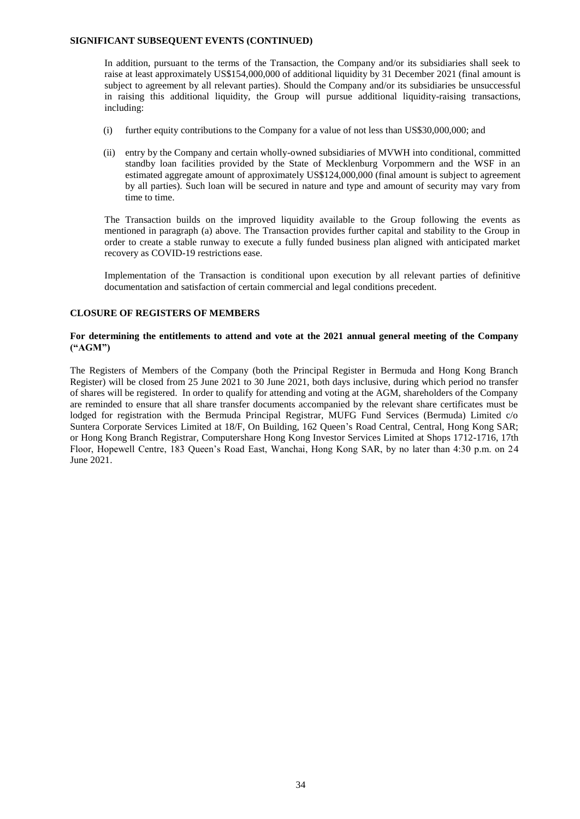### **SIGNIFICANT SUBSEQUENT EVENTS (CONTINUED)**

In addition, pursuant to the terms of the Transaction, the Company and/or its subsidiaries shall seek to raise at least approximately US\$154,000,000 of additional liquidity by 31 December 2021 (final amount is subject to agreement by all relevant parties). Should the Company and/or its subsidiaries be unsuccessful in raising this additional liquidity, the Group will pursue additional liquidity-raising transactions, including:

- (i) further equity contributions to the Company for a value of not less than US\$30,000,000; and
- (ii) entry by the Company and certain wholly-owned subsidiaries of MVWH into conditional, committed standby loan facilities provided by the State of Mecklenburg Vorpommern and the WSF in an estimated aggregate amount of approximately US\$124,000,000 (final amount is subject to agreement by all parties). Such loan will be secured in nature and type and amount of security may vary from time to time.

The Transaction builds on the improved liquidity available to the Group following the events as mentioned in paragraph (a) above. The Transaction provides further capital and stability to the Group in order to create a stable runway to execute a fully funded business plan aligned with anticipated market recovery as COVID-19 restrictions ease.

Implementation of the Transaction is conditional upon execution by all relevant parties of definitive documentation and satisfaction of certain commercial and legal conditions precedent.

## **CLOSURE OF REGISTERS OF MEMBERS**

# **For determining the entitlements to attend and vote at the 2021 annual general meeting of the Company ("AGM")**

The Registers of Members of the Company (both the Principal Register in Bermuda and Hong Kong Branch Register) will be closed from 25 June 2021 to 30 June 2021, both days inclusive, during which period no transfer of shares will be registered. In order to qualify for attending and voting at the AGM, shareholders of the Company are reminded to ensure that all share transfer documents accompanied by the relevant share certificates must be lodged for registration with the Bermuda Principal Registrar, MUFG Fund Services (Bermuda) Limited c/o Suntera Corporate Services Limited at 18/F, On Building, 162 Queen's Road Central, Central, Hong Kong SAR; or Hong Kong Branch Registrar, Computershare Hong Kong Investor Services Limited at Shops 1712-1716, 17th Floor, Hopewell Centre, 183 Queen's Road East, Wanchai, Hong Kong SAR, by no later than 4:30 p.m. on 24 June 2021.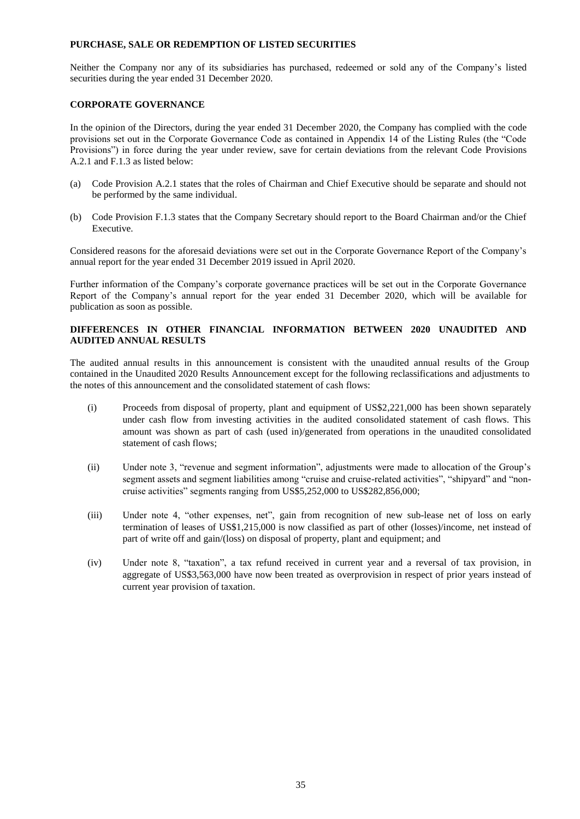# **PURCHASE, SALE OR REDEMPTION OF LISTED SECURITIES**

Neither the Company nor any of its subsidiaries has purchased, redeemed or sold any of the Company's listed securities during the year ended 31 December 2020.

# **CORPORATE GOVERNANCE**

In the opinion of the Directors, during the year ended 31 December 2020, the Company has complied with the code provisions set out in the Corporate Governance Code as contained in Appendix 14 of the Listing Rules (the "Code Provisions") in force during the year under review, save for certain deviations from the relevant Code Provisions A.2.1 and F.1.3 as listed below:

- (a) Code Provision A.2.1 states that the roles of Chairman and Chief Executive should be separate and should not be performed by the same individual.
- (b) Code Provision F.1.3 states that the Company Secretary should report to the Board Chairman and/or the Chief Executive.

Considered reasons for the aforesaid deviations were set out in the Corporate Governance Report of the Company's annual report for the year ended 31 December 2019 issued in April 2020.

Further information of the Company's corporate governance practices will be set out in the Corporate Governance Report of the Company's annual report for the year ended 31 December 2020, which will be available for publication as soon as possible.

# **DIFFERENCES IN OTHER FINANCIAL INFORMATION BETWEEN 2020 UNAUDITED AND AUDITED ANNUAL RESULTS**

The audited annual results in this announcement is consistent with the unaudited annual results of the Group contained in the Unaudited 2020 Results Announcement except for the following reclassifications and adjustments to the notes of this announcement and the consolidated statement of cash flows:

- (i) Proceeds from disposal of property, plant and equipment of US\$2,221,000 has been shown separately under cash flow from investing activities in the audited consolidated statement of cash flows. This amount was shown as part of cash (used in)/generated from operations in the unaudited consolidated statement of cash flows;
- (ii) Under note 3, "revenue and segment information", adjustments were made to allocation of the Group's segment assets and segment liabilities among "cruise and cruise-related activities", "shipyard" and "noncruise activities" segments ranging from US\$5,252,000 to US\$282,856,000;
- (iii) Under note 4, "other expenses, net", gain from recognition of new sub-lease net of loss on early termination of leases of US\$1,215,000 is now classified as part of other (losses)/income, net instead of part of write off and gain/(loss) on disposal of property, plant and equipment; and
- (iv) Under note 8, "taxation", a tax refund received in current year and a reversal of tax provision, in aggregate of US\$3,563,000 have now been treated as overprovision in respect of prior years instead of current year provision of taxation.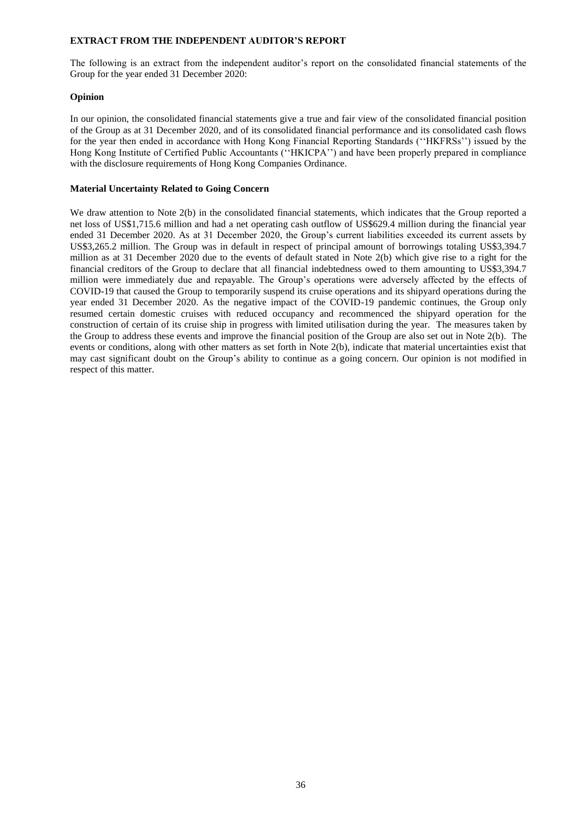### **EXTRACT FROM THE INDEPENDENT AUDITOR'S REPORT**

The following is an extract from the independent auditor's report on the consolidated financial statements of the Group for the year ended 31 December 2020:

# **Opinion**

In our opinion, the consolidated financial statements give a true and fair view of the consolidated financial position of the Group as at 31 December 2020, and of its consolidated financial performance and its consolidated cash flows for the year then ended in accordance with Hong Kong Financial Reporting Standards (''HKFRSs'') issued by the Hong Kong Institute of Certified Public Accountants (''HKICPA'') and have been properly prepared in compliance with the disclosure requirements of Hong Kong Companies Ordinance.

## **Material Uncertainty Related to Going Concern**

We draw attention to Note 2(b) in the consolidated financial statements, which indicates that the Group reported a net loss of US\$1,715.6 million and had a net operating cash outflow of US\$629.4 million during the financial year ended 31 December 2020. As at 31 December 2020, the Group's current liabilities exceeded its current assets by US\$3,265.2 million. The Group was in default in respect of principal amount of borrowings totaling US\$3,394.7 million as at 31 December 2020 due to the events of default stated in Note 2(b) which give rise to a right for the financial creditors of the Group to declare that all financial indebtedness owed to them amounting to US\$3,394.7 million were immediately due and repayable. The Group's operations were adversely affected by the effects of COVID-19 that caused the Group to temporarily suspend its cruise operations and its shipyard operations during the year ended 31 December 2020. As the negative impact of the COVID-19 pandemic continues, the Group only resumed certain domestic cruises with reduced occupancy and recommenced the shipyard operation for the construction of certain of its cruise ship in progress with limited utilisation during the year. The measures taken by the Group to address these events and improve the financial position of the Group are also set out in Note 2(b). The events or conditions, along with other matters as set forth in Note 2(b), indicate that material uncertainties exist that may cast significant doubt on the Group's ability to continue as a going concern. Our opinion is not modified in respect of this matter.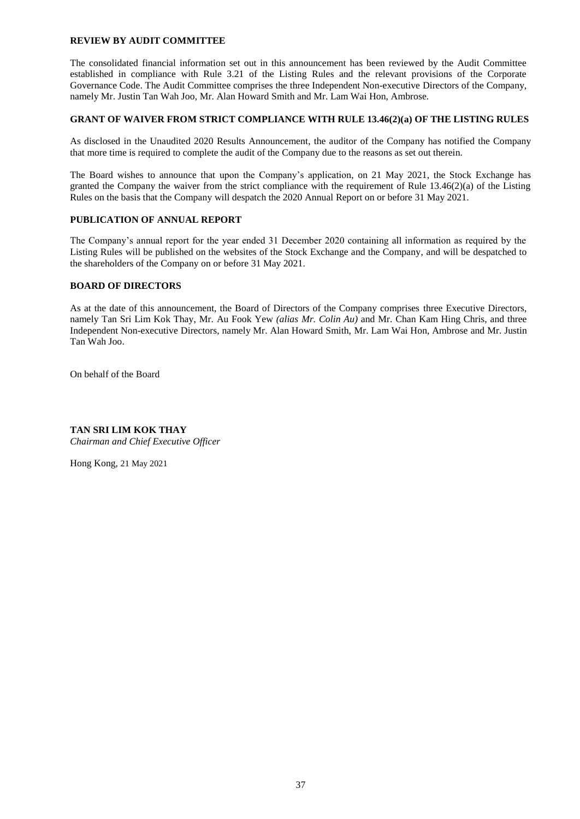## **REVIEW BY AUDIT COMMITTEE**

The consolidated financial information set out in this announcement has been reviewed by the Audit Committee established in compliance with Rule 3.21 of the Listing Rules and the relevant provisions of the Corporate Governance Code. The Audit Committee comprises the three Independent Non-executive Directors of the Company, namely Mr. Justin Tan Wah Joo, Mr. Alan Howard Smith and Mr. Lam Wai Hon, Ambrose.

# **GRANT OF WAIVER FROM STRICT COMPLIANCE WITH RULE 13.46(2)(a) OF THE LISTING RULES**

As disclosed in the Unaudited 2020 Results Announcement, the auditor of the Company has notified the Company that more time is required to complete the audit of the Company due to the reasons as set out therein.

The Board wishes to announce that upon the Company's application, on 21 May 2021, the Stock Exchange has granted the Company the waiver from the strict compliance with the requirement of Rule 13.46(2)(a) of the Listing Rules on the basis that the Company will despatch the 2020 Annual Report on or before 31 May 2021.

# **PUBLICATION OF ANNUAL REPORT**

The Company's annual report for the year ended 31 December 2020 containing all information as required by the Listing Rules will be published on the websites of the Stock Exchange and the Company, and will be despatched to the shareholders of the Company on or before 31 May 2021.

## **BOARD OF DIRECTORS**

As at the date of this announcement, the Board of Directors of the Company comprises three Executive Directors, namely Tan Sri Lim Kok Thay, Mr. Au Fook Yew *(alias Mr. Colin Au)* and Mr. Chan Kam Hing Chris, and three Independent Non-executive Directors, namely Mr. Alan Howard Smith, Mr. Lam Wai Hon, Ambrose and Mr. Justin Tan Wah Joo.

On behalf of the Board

# **TAN SRI LIM KOK THAY**

*Chairman and Chief Executive Officer*

Hong Kong, 21 May 2021